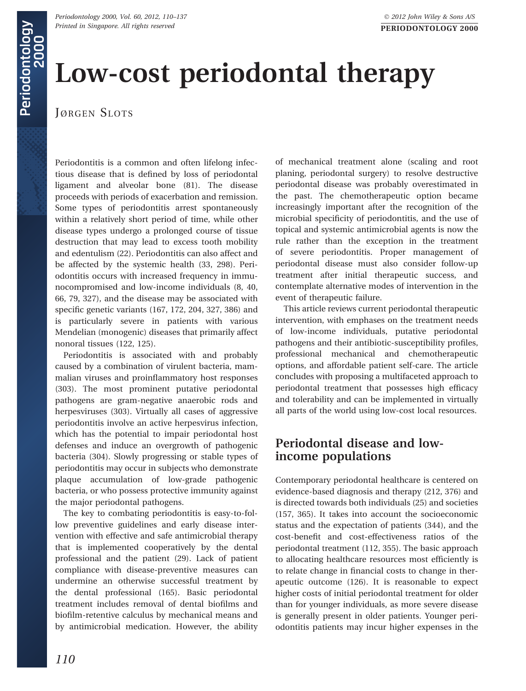# Low-cost periodontal therapy

JØRGEN SLOTS

Periodontitis is a common and often lifelong infectious disease that is defined by loss of periodontal ligament and alveolar bone (81). The disease proceeds with periods of exacerbation and remission. Some types of periodontitis arrest spontaneously within a relatively short period of time, while other disease types undergo a prolonged course of tissue destruction that may lead to excess tooth mobility and edentulism (22). Periodontitis can also affect and be affected by the systemic health (33, 298). Periodontitis occurs with increased frequency in immunocompromised and low-income individuals (8, 40, 66, 79, 327), and the disease may be associated with specific genetic variants (167, 172, 204, 327, 386) and is particularly severe in patients with various Mendelian (monogenic) diseases that primarily affect nonoral tissues (122, 125).

Periodontitis is associated with and probably caused by a combination of virulent bacteria, mammalian viruses and proinflammatory host responses (303). The most prominent putative periodontal pathogens are gram-negative anaerobic rods and herpesviruses (303). Virtually all cases of aggressive periodontitis involve an active herpesvirus infection, which has the potential to impair periodontal host defenses and induce an overgrowth of pathogenic bacteria (304). Slowly progressing or stable types of periodontitis may occur in subjects who demonstrate plaque accumulation of low-grade pathogenic bacteria, or who possess protective immunity against the major periodontal pathogens.

The key to combating periodontitis is easy-to-follow preventive guidelines and early disease intervention with effective and safe antimicrobial therapy that is implemented cooperatively by the dental professional and the patient (29). Lack of patient compliance with disease-preventive measures can undermine an otherwise successful treatment by the dental professional (165). Basic periodontal treatment includes removal of dental biofilms and biofilm-retentive calculus by mechanical means and by antimicrobial medication. However, the ability

of mechanical treatment alone (scaling and root planing, periodontal surgery) to resolve destructive periodontal disease was probably overestimated in the past. The chemotherapeutic option became increasingly important after the recognition of the microbial specificity of periodontitis, and the use of topical and systemic antimicrobial agents is now the rule rather than the exception in the treatment of severe periodontitis. Proper management of periodontal disease must also consider follow-up treatment after initial therapeutic success, and contemplate alternative modes of intervention in the event of therapeutic failure.

This article reviews current periodontal therapeutic intervention, with emphases on the treatment needs of low-income individuals, putative periodontal pathogens and their antibiotic-susceptibility profiles, professional mechanical and chemotherapeutic options, and affordable patient self-care. The article concludes with proposing a multifaceted approach to periodontal treatment that possesses high efficacy and tolerability and can be implemented in virtually all parts of the world using low-cost local resources.

## Periodontal disease and lowincome populations

Contemporary periodontal healthcare is centered on evidence-based diagnosis and therapy (212, 376) and is directed towards both individuals (25) and societies (157, 365). It takes into account the socioeconomic status and the expectation of patients (344), and the cost-benefit and cost-effectiveness ratios of the periodontal treatment (112, 355). The basic approach to allocating healthcare resources most efficiently is to relate change in financial costs to change in therapeutic outcome (126). It is reasonable to expect higher costs of initial periodontal treatment for older than for younger individuals, as more severe disease is generally present in older patients. Younger periodontitis patients may incur higher expenses in the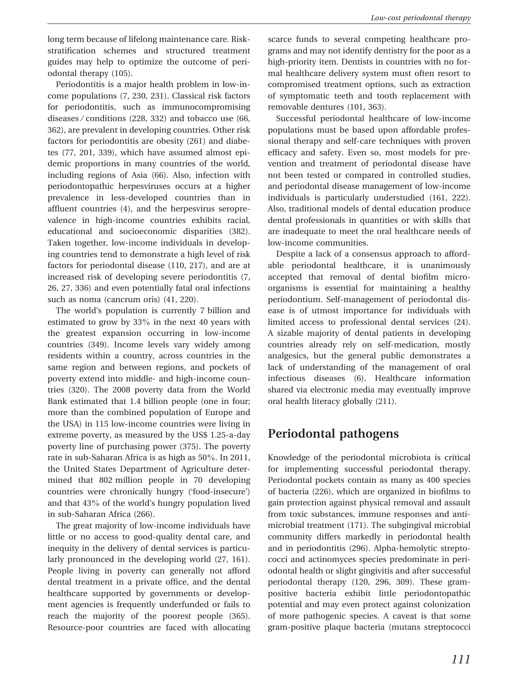long term because of lifelong maintenance care. Riskstratification schemes and structured treatment guides may help to optimize the outcome of periodontal therapy (105).

Periodontitis is a major health problem in low-income populations (7, 230, 231). Classical risk factors for periodontitis, such as immunocompromising diseases ⁄ conditions (228, 332) and tobacco use (66, 362), are prevalent in developing countries. Other risk factors for periodontitis are obesity (261) and diabetes (77, 201, 339), which have assumed almost epidemic proportions in many countries of the world, including regions of Asia (66). Also, infection with periodontopathic herpesviruses occurs at a higher prevalence in less-developed countries than in affluent countries (4), and the herpesvirus seroprevalence in high-income countries exhibits racial, educational and socioeconomic disparities (382). Taken together, low-income individuals in developing countries tend to demonstrate a high level of risk factors for periodontal disease (110, 217), and are at increased risk of developing severe periodontitis (7, 26, 27, 336) and even potentially fatal oral infections such as noma (cancrum oris) (41, 220).

The world's population is currently 7 billion and estimated to grow by 33% in the next 40 years with the greatest expansion occurring in low-income countries (349). Income levels vary widely among residents within a country, across countries in the same region and between regions, and pockets of poverty extend into middle- and high-income countries (320). The 2008 poverty data from the World Bank estimated that 1.4 billion people (one in four; more than the combined population of Europe and the USA) in 115 low-income countries were living in extreme poverty, as measured by the US\$ 1.25-a-day poverty line of purchasing power (375). The poverty rate in sub-Saharan Africa is as high as 50%. In 2011, the United States Department of Agriculture determined that 802 million people in 70 developing countries were chronically hungry ('food-insecure') and that 43% of the world's hungry population lived in sub-Saharan Africa (266).

The great majority of low-income individuals have little or no access to good-quality dental care, and inequity in the delivery of dental services is particularly pronounced in the developing world (27, 161). People living in poverty can generally not afford dental treatment in a private office, and the dental healthcare supported by governments or development agencies is frequently underfunded or fails to reach the majority of the poorest people (365). Resource-poor countries are faced with allocating scarce funds to several competing healthcare programs and may not identify dentistry for the poor as a high-priority item. Dentists in countries with no formal healthcare delivery system must often resort to compromised treatment options, such as extraction of symptomatic teeth and tooth replacement with removable dentures (101, 363).

Successful periodontal healthcare of low-income populations must be based upon affordable professional therapy and self-care techniques with proven efficacy and safety. Even so, most models for prevention and treatment of periodontal disease have not been tested or compared in controlled studies, and periodontal disease management of low-income individuals is particularly understudied (161, 222). Also, traditional models of dental education produce dental professionals in quantities or with skills that are inadequate to meet the oral healthcare needs of low-income communities.

Despite a lack of a consensus approach to affordable periodontal healthcare, it is unanimously accepted that removal of dental biofilm microorganisms is essential for maintaining a healthy periodontium. Self-management of periodontal disease is of utmost importance for individuals with limited access to professional dental services (24). A sizable majority of dental patients in developing countries already rely on self-medication, mostly analgesics, but the general public demonstrates a lack of understanding of the management of oral infectious diseases (6). Healthcare information shared via electronic media may eventually improve oral health literacy globally (211).

# Periodontal pathogens

Knowledge of the periodontal microbiota is critical for implementing successful periodontal therapy. Periodontal pockets contain as many as 400 species of bacteria (226), which are organized in biofilms to gain protection against physical removal and assault from toxic substances, immune responses and antimicrobial treatment (171). The subgingival microbial community differs markedly in periodontal health and in periodontitis (296). Alpha-hemolytic streptococci and actinomyces species predominate in periodontal health or slight gingivitis and after successful periodontal therapy (120, 296, 309). These grampositive bacteria exhibit little periodontopathic potential and may even protect against colonization of more pathogenic species. A caveat is that some gram-positive plaque bacteria (mutans streptococci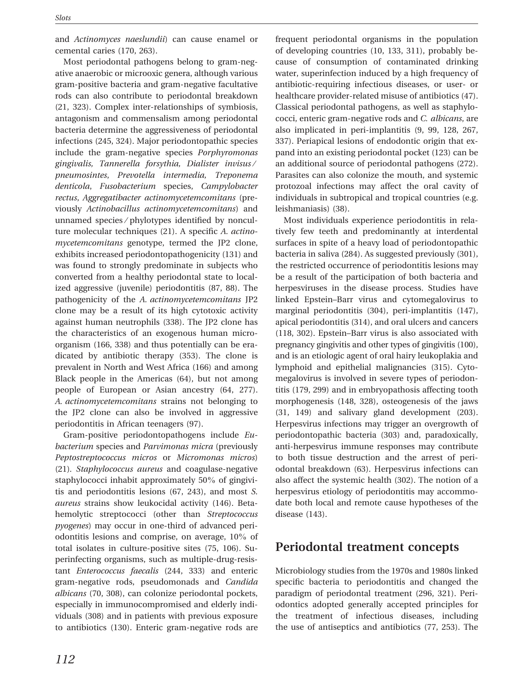and Actinomyces naeslundii) can cause enamel or cemental caries (170, 263).

Most periodontal pathogens belong to gram-negative anaerobic or microoxic genera, although various gram-positive bacteria and gram-negative facultative rods can also contribute to periodontal breakdown (21, 323). Complex inter-relationships of symbiosis, antagonism and commensalism among periodontal bacteria determine the aggressiveness of periodontal infections (245, 324). Major periodontopathic species include the gram-negative species Porphyromonas gingivalis, Tannerella forsythia, Dialister invisus ⁄ pneumosintes, Prevotella intermedia, Treponema denticola, Fusobacterium species, Campylobacter rectus, Aggregatibacter actinomycetemcomitans (previously Actinobacillus actinomycetemcomitans) and unnamed species ⁄ phylotypes identified by nonculture molecular techniques (21). A specific A. actinomycetemcomitans genotype, termed the JP2 clone, exhibits increased periodontopathogenicity (131) and was found to strongly predominate in subjects who converted from a healthy periodontal state to localized aggressive (juvenile) periodontitis (87, 88). The pathogenicity of the A. actinomycetemcomitans JP2 clone may be a result of its high cytotoxic activity against human neutrophils (338). The JP2 clone has the characteristics of an exogenous human microorganism (166, 338) and thus potentially can be eradicated by antibiotic therapy (353). The clone is prevalent in North and West Africa (166) and among Black people in the Americas (64), but not among people of European or Asian ancestry (64, 277). A. actinomycetemcomitans strains not belonging to the JP2 clone can also be involved in aggressive periodontitis in African teenagers (97).

Gram-positive periodontopathogens include Eubacterium species and Parvimonas micra (previously Peptostreptococcus micros or Micromonas micros) (21). Staphylococcus aureus and coagulase-negative staphylococci inhabit approximately 50% of gingivitis and periodontitis lesions (67, 243), and most S. aureus strains show leukocidal activity (146). Betahemolytic streptococci (other than Streptococcus pyogenes) may occur in one-third of advanced periodontitis lesions and comprise, on average, 10% of total isolates in culture-positive sites (75, 106). Superinfecting organisms, such as multiple-drug-resistant Enterococcus faecalis (244, 333) and enteric gram-negative rods, pseudomonads and Candida albicans (70, 308), can colonize periodontal pockets, especially in immunocompromised and elderly individuals (308) and in patients with previous exposure to antibiotics (130). Enteric gram-negative rods are

frequent periodontal organisms in the population of developing countries (10, 133, 311), probably because of consumption of contaminated drinking water, superinfection induced by a high frequency of antibiotic-requiring infectious diseases, or user- or healthcare provider-related misuse of antibiotics (47). Classical periodontal pathogens, as well as staphylococci, enteric gram-negative rods and C. albicans, are also implicated in peri-implantitis (9, 99, 128, 267, 337). Periapical lesions of endodontic origin that expand into an existing periodontal pocket (123) can be an additional source of periodontal pathogens (272). Parasites can also colonize the mouth, and systemic protozoal infections may affect the oral cavity of individuals in subtropical and tropical countries (e.g. leishmaniasis) (38).

Most individuals experience periodontitis in relatively few teeth and predominantly at interdental surfaces in spite of a heavy load of periodontopathic bacteria in saliva (284). As suggested previously (301), the restricted occurrence of periodontitis lesions may be a result of the participation of both bacteria and herpesviruses in the disease process. Studies have linked Epstein–Barr virus and cytomegalovirus to marginal periodontitis (304), peri-implantitis (147), apical periodontitis (314), and oral ulcers and cancers (118, 302). Epstein–Barr virus is also associated with pregnancy gingivitis and other types of gingivitis (100), and is an etiologic agent of oral hairy leukoplakia and lymphoid and epithelial malignancies (315). Cytomegalovirus is involved in severe types of periodontitis (179, 299) and in embryopathosis affecting tooth morphogenesis (148, 328), osteogenesis of the jaws (31, 149) and salivary gland development (203). Herpesvirus infections may trigger an overgrowth of periodontopathic bacteria (303) and, paradoxically, anti-herpesvirus immune responses may contribute to both tissue destruction and the arrest of periodontal breakdown (63). Herpesvirus infections can also affect the systemic health (302). The notion of a herpesvirus etiology of periodontitis may accommodate both local and remote cause hypotheses of the disease (143).

# Periodontal treatment concepts

Microbiology studies from the 1970s and 1980s linked specific bacteria to periodontitis and changed the paradigm of periodontal treatment (296, 321). Periodontics adopted generally accepted principles for the treatment of infectious diseases, including the use of antiseptics and antibiotics (77, 253). The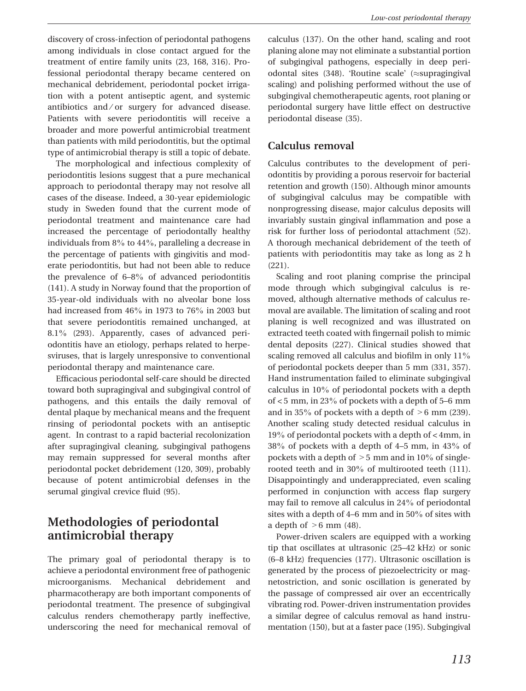discovery of cross-infection of periodontal pathogens among individuals in close contact argued for the treatment of entire family units (23, 168, 316). Professional periodontal therapy became centered on mechanical debridement, periodontal pocket irrigation with a potent antiseptic agent, and systemic antibiotics and ⁄ or surgery for advanced disease. Patients with severe periodontitis will receive a broader and more powerful antimicrobial treatment than patients with mild periodontitis, but the optimal type of antimicrobial therapy is still a topic of debate.

The morphological and infectious complexity of periodontitis lesions suggest that a pure mechanical approach to periodontal therapy may not resolve all cases of the disease. Indeed, a 30-year epidemiologic study in Sweden found that the current mode of periodontal treatment and maintenance care had increased the percentage of periodontally healthy individuals from 8% to 44%, paralleling a decrease in the percentage of patients with gingivitis and moderate periodontitis, but had not been able to reduce the prevalence of 6–8% of advanced periodontitis (141). A study in Norway found that the proportion of 35-year-old individuals with no alveolar bone loss had increased from 46% in 1973 to 76% in 2003 but that severe periodontitis remained unchanged, at 8.1% (293). Apparently, cases of advanced periodontitis have an etiology, perhaps related to herpesviruses, that is largely unresponsive to conventional periodontal therapy and maintenance care.

Efficacious periodontal self-care should be directed toward both supragingival and subgingival control of pathogens, and this entails the daily removal of dental plaque by mechanical means and the frequent rinsing of periodontal pockets with an antiseptic agent. In contrast to a rapid bacterial recolonization after supragingival cleaning, subgingival pathogens may remain suppressed for several months after periodontal pocket debridement (120, 309), probably because of potent antimicrobial defenses in the serumal gingival crevice fluid (95).

## Methodologies of periodontal antimicrobial therapy

The primary goal of periodontal therapy is to achieve a periodontal environment free of pathogenic microorganisms. Mechanical debridement and pharmacotherapy are both important components of periodontal treatment. The presence of subgingival calculus renders chemotherapy partly ineffective, underscoring the need for mechanical removal of

calculus (137). On the other hand, scaling and root planing alone may not eliminate a substantial portion of subgingival pathogens, especially in deep periodontal sites (348). 'Routine scale' ( $\approx$ supragingival scaling) and polishing performed without the use of subgingival chemotherapeutic agents, root planing or periodontal surgery have little effect on destructive periodontal disease (35).

## Calculus removal

Calculus contributes to the development of periodontitis by providing a porous reservoir for bacterial retention and growth (150). Although minor amounts of subgingival calculus may be compatible with nonprogressing disease, major calculus deposits will invariably sustain gingival inflammation and pose a risk for further loss of periodontal attachment (52). A thorough mechanical debridement of the teeth of patients with periodontitis may take as long as 2 h (221).

Scaling and root planing comprise the principal mode through which subgingival calculus is removed, although alternative methods of calculus removal are available. The limitation of scaling and root planing is well recognized and was illustrated on extracted teeth coated with fingernail polish to mimic dental deposits (227). Clinical studies showed that scaling removed all calculus and biofilm in only 11% of periodontal pockets deeper than 5 mm (331, 357). Hand instrumentation failed to eliminate subgingival calculus in 10% of periodontal pockets with a depth of < 5 mm, in 23% of pockets with a depth of 5–6 mm and in 35% of pockets with a depth of  $>6$  mm (239). Another scaling study detected residual calculus in 19% of periodontal pockets with a depth of < 4mm, in 38% of pockets with a depth of 4–5 mm, in 43% of pockets with a depth of  $>5$  mm and in 10% of singlerooted teeth and in 30% of multirooted teeth (111). Disappointingly and underappreciated, even scaling performed in conjunction with access flap surgery may fail to remove all calculus in 24% of periodontal sites with a depth of 4–6 mm and in 50% of sites with a depth of  $>6$  mm (48).

Power-driven scalers are equipped with a working tip that oscillates at ultrasonic (25–42 kHz) or sonic (6–8 kHz) frequencies (177). Ultrasonic oscillation is generated by the process of piezoelectricity or magnetostriction, and sonic oscillation is generated by the passage of compressed air over an eccentrically vibrating rod. Power-driven instrumentation provides a similar degree of calculus removal as hand instrumentation (150), but at a faster pace (195). Subgingival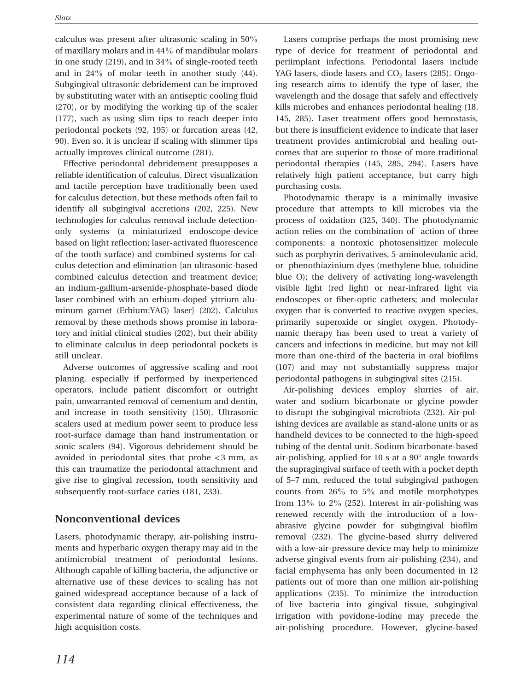calculus was present after ultrasonic scaling in 50% of maxillary molars and in 44% of mandibular molars in one study (219), and in 34% of single-rooted teeth and in 24% of molar teeth in another study (44). Subgingival ultrasonic debridement can be improved by substituting water with an antiseptic cooling fluid (270), or by modifying the working tip of the scaler (177), such as using slim tips to reach deeper into periodontal pockets (92, 195) or furcation areas (42, 90). Even so, it is unclear if scaling with slimmer tips actually improves clinical outcome (281).

Effective periodontal debridement presupposes a reliable identification of calculus. Direct visualization and tactile perception have traditionally been used for calculus detection, but these methods often fail to identify all subgingival accretions (202, 225). New technologies for calculus removal include detectiononly systems (a miniaturized endoscope-device based on light reflection; laser-activated fluorescence of the tooth surface) and combined systems for calculus detection and elimination [an ultrasonic-based combined calculus detection and treatment device; an indium-gallium-arsenide-phosphate-based diode laser combined with an erbium-doped yttrium aluminum garnet (Erbium:YAG) laser] (202). Calculus removal by these methods shows promise in laboratory and initial clinical studies (202), but their ability to eliminate calculus in deep periodontal pockets is still unclear.

Adverse outcomes of aggressive scaling and root planing, especially if performed by inexperienced operators, include patient discomfort or outright pain, unwarranted removal of cementum and dentin, and increase in tooth sensitivity (150). Ultrasonic scalers used at medium power seem to produce less root-surface damage than hand instrumentation or sonic scalers (94). Vigorous debridement should be avoided in periodontal sites that probe < 3 mm, as this can traumatize the periodontal attachment and give rise to gingival recession, tooth sensitivity and subsequently root-surface caries (181, 233).

## Nonconventional devices

Lasers, photodynamic therapy, air-polishing instruments and hyperbaric oxygen therapy may aid in the antimicrobial treatment of periodontal lesions. Although capable of killing bacteria, the adjunctive or alternative use of these devices to scaling has not gained widespread acceptance because of a lack of consistent data regarding clinical effectiveness, the experimental nature of some of the techniques and high acquisition costs.

Lasers comprise perhaps the most promising new type of device for treatment of periodontal and periimplant infections. Periodontal lasers include YAG lasers, diode lasers and  $CO<sub>2</sub>$  lasers (285). Ongoing research aims to identify the type of laser, the wavelength and the dosage that safely and effectively kills microbes and enhances periodontal healing (18, 145, 285). Laser treatment offers good hemostasis, but there is insufficient evidence to indicate that laser treatment provides antimicrobial and healing outcomes that are superior to those of more traditional periodontal therapies (145, 285, 294). Lasers have relatively high patient acceptance, but carry high purchasing costs.

Photodynamic therapy is a minimally invasive procedure that attempts to kill microbes via the process of oxidation (325, 340). The photodynamic action relies on the combination of action of three components: a nontoxic photosensitizer molecule such as porphyrin derivatives, 5-aminolevulanic acid, or phenothiazinium dyes (methylene blue, toluidine blue O); the delivery of activating long-wavelength visible light (red light) or near-infrared light via endoscopes or fiber-optic catheters; and molecular oxygen that is converted to reactive oxygen species, primarily superoxide or singlet oxygen. Photodynamic therapy has been used to treat a variety of cancers and infections in medicine, but may not kill more than one-third of the bacteria in oral biofilms (107) and may not substantially suppress major periodontal pathogens in subgingival sites (215).

Air-polishing devices employ slurries of air, water and sodium bicarbonate or glycine powder to disrupt the subgingival microbiota (232). Air-polishing devices are available as stand-alone units or as handheld devices to be connected to the high-speed tubing of the dental unit. Sodium bicarbonate-based air-polishing, applied for 10 s at a  $90^\circ$  angle towards the supragingival surface of teeth with a pocket depth of 5–7 mm, reduced the total subgingival pathogen counts from 26% to 5% and motile morphotypes from 13% to 2% (252). Interest in air-polishing was renewed recently with the introduction of a lowabrasive glycine powder for subgingival biofilm removal (232). The glycine-based slurry delivered with a low-air-pressure device may help to minimize adverse gingival events from air-polishing (234), and facial emphysema has only been documented in 12 patients out of more than one million air-polishing applications (235). To minimize the introduction of live bacteria into gingival tissue, subgingival irrigation with povidone-iodine may precede the air-polishing procedure. However, glycine-based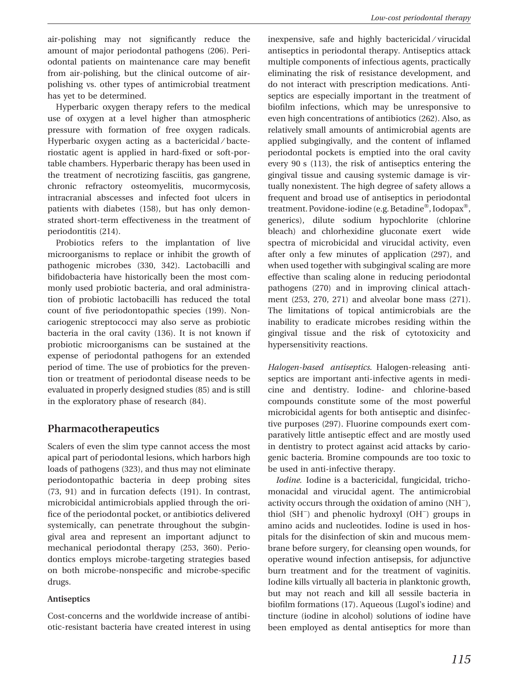air-polishing may not significantly reduce the amount of major periodontal pathogens (206). Periodontal patients on maintenance care may benefit from air-polishing, but the clinical outcome of airpolishing vs. other types of antimicrobial treatment has yet to be determined.

Hyperbaric oxygen therapy refers to the medical use of oxygen at a level higher than atmospheric pressure with formation of free oxygen radicals. Hyperbaric oxygen acting as a bactericidal ⁄ bacteriostatic agent is applied in hard-fixed or soft-portable chambers. Hyperbaric therapy has been used in the treatment of necrotizing fasciitis, gas gangrene, chronic refractory osteomyelitis, mucormycosis, intracranial abscesses and infected foot ulcers in patients with diabetes (158), but has only demonstrated short-term effectiveness in the treatment of periodontitis (214).

Probiotics refers to the implantation of live microorganisms to replace or inhibit the growth of pathogenic microbes (330, 342). Lactobacilli and bifidobacteria have historically been the most commonly used probiotic bacteria, and oral administration of probiotic lactobacilli has reduced the total count of five periodontopathic species (199). Noncariogenic streptococci may also serve as probiotic bacteria in the oral cavity (136). It is not known if probiotic microorganisms can be sustained at the expense of periodontal pathogens for an extended period of time. The use of probiotics for the prevention or treatment of periodontal disease needs to be evaluated in properly designed studies (85) and is still in the exploratory phase of research (84).

## Pharmacotherapeutics

Scalers of even the slim type cannot access the most apical part of periodontal lesions, which harbors high loads of pathogens (323), and thus may not eliminate periodontopathic bacteria in deep probing sites (73, 91) and in furcation defects (191). In contrast, microbicidal antimicrobials applied through the orifice of the periodontal pocket, or antibiotics delivered systemically, can penetrate throughout the subgingival area and represent an important adjunct to mechanical periodontal therapy (253, 360). Periodontics employs microbe-targeting strategies based on both microbe-nonspecific and microbe-specific drugs.

#### Antiseptics

Cost-concerns and the worldwide increase of antibiotic-resistant bacteria have created interest in using

inexpensive, safe and highly bactericidal ⁄ virucidal antiseptics in periodontal therapy. Antiseptics attack multiple components of infectious agents, practically eliminating the risk of resistance development, and do not interact with prescription medications. Antiseptics are especially important in the treatment of biofilm infections, which may be unresponsive to even high concentrations of antibiotics (262). Also, as relatively small amounts of antimicrobial agents are applied subgingivally, and the content of inflamed periodontal pockets is emptied into the oral cavity every 90 s (113), the risk of antiseptics entering the gingival tissue and causing systemic damage is virtually nonexistent. The high degree of safety allows a frequent and broad use of antiseptics in periodontal treatment. Povidone-iodine (e.g. Betadine®, Iodopax®, generics), dilute sodium hypochlorite (chlorine bleach) and chlorhexidine gluconate exert wide spectra of microbicidal and virucidal activity, even after only a few minutes of application (297), and when used together with subgingival scaling are more effective than scaling alone in reducing periodontal pathogens (270) and in improving clinical attachment (253, 270, 271) and alveolar bone mass (271). The limitations of topical antimicrobials are the inability to eradicate microbes residing within the gingival tissue and the risk of cytotoxicity and hypersensitivity reactions.

Halogen-based antiseptics. Halogen-releasing antiseptics are important anti-infective agents in medicine and dentistry. Iodine- and chlorine-based compounds constitute some of the most powerful microbicidal agents for both antiseptic and disinfective purposes (297). Fluorine compounds exert comparatively little antiseptic effect and are mostly used in dentistry to protect against acid attacks by cariogenic bacteria. Bromine compounds are too toxic to be used in anti-infective therapy.

Iodine. Iodine is a bactericidal, fungicidal, trichomonacidal and virucidal agent. The antimicrobial activity occurs through the oxidation of amino (NH<sup>-</sup>), thiol (SH<sup>-</sup>) and phenolic hydroxyl (OH<sup>-</sup>) groups in amino acids and nucleotides. Iodine is used in hospitals for the disinfection of skin and mucous membrane before surgery, for cleansing open wounds, for operative wound infection antisepsis, for adjunctive burn treatment and for the treatment of vaginitis. Iodine kills virtually all bacteria in planktonic growth, but may not reach and kill all sessile bacteria in biofilm formations (17). Aqueous (Lugol's iodine) and tincture (iodine in alcohol) solutions of iodine have been employed as dental antiseptics for more than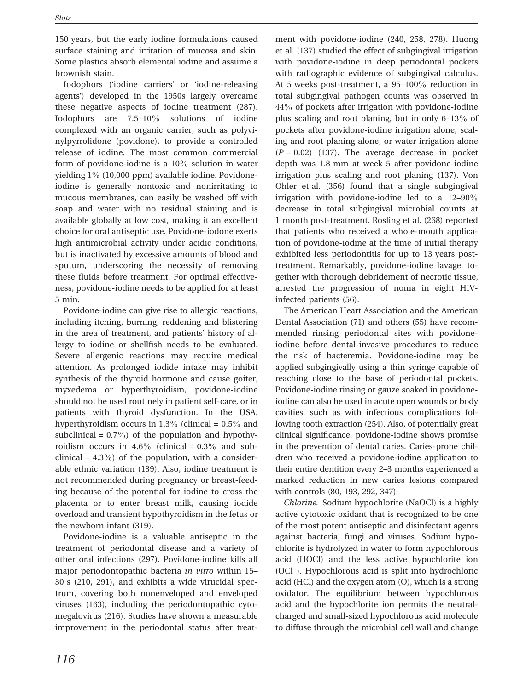150 years, but the early iodine formulations caused surface staining and irritation of mucosa and skin. Some plastics absorb elemental iodine and assume a brownish stain.

Iodophors ('iodine carriers' or 'iodine-releasing agents') developed in the 1950s largely overcame these negative aspects of iodine treatment (287). Iodophors are 7.5–10% solutions of iodine complexed with an organic carrier, such as polyvinylpyrrolidone (povidone), to provide a controlled release of iodine. The most common commercial form of povidone-iodine is a 10% solution in water yielding 1% (10,000 ppm) available iodine. Povidoneiodine is generally nontoxic and nonirritating to mucous membranes, can easily be washed off with soap and water with no residual staining and is available globally at low cost, making it an excellent choice for oral antiseptic use. Povidone-iodone exerts high antimicrobial activity under acidic conditions, but is inactivated by excessive amounts of blood and sputum, underscoring the necessity of removing these fluids before treatment. For optimal effectiveness, povidone-iodine needs to be applied for at least 5 min.

Povidone-iodine can give rise to allergic reactions, including itching, burning, reddening and blistering in the area of treatment, and patients' history of allergy to iodine or shellfish needs to be evaluated. Severe allergenic reactions may require medical attention. As prolonged iodide intake may inhibit synthesis of the thyroid hormone and cause goiter, myxedema or hyperthyroidism, povidone-iodine should not be used routinely in patient self-care, or in patients with thyroid dysfunction. In the USA, hyperthyroidism occurs in  $1.3\%$  (clinical =  $0.5\%$  and subclinical =  $0.7\%$ ) of the population and hypothyroidism occurs in  $4.6\%$  (clinical =  $0.3\%$  and subclinical  $= 4.3\%$ ) of the population, with a considerable ethnic variation (139). Also, iodine treatment is not recommended during pregnancy or breast-feeding because of the potential for iodine to cross the placenta or to enter breast milk, causing iodide overload and transient hypothyroidism in the fetus or the newborn infant (319).

Povidone-iodine is a valuable antiseptic in the treatment of periodontal disease and a variety of other oral infections (297). Povidone-iodine kills all major periodontopathic bacteria in vitro within 15– 30 s (210, 291), and exhibits a wide virucidal spectrum, covering both nonenveloped and enveloped viruses (163), including the periodontopathic cytomegalovirus (216). Studies have shown a measurable improvement in the periodontal status after treatment with povidone-iodine (240, 258, 278). Huong et al. (137) studied the effect of subgingival irrigation with povidone-iodine in deep periodontal pockets with radiographic evidence of subgingival calculus. At 5 weeks post-treatment, a 95–100% reduction in total subgingival pathogen counts was observed in 44% of pockets after irrigation with povidone-iodine plus scaling and root planing, but in only 6–13% of pockets after povidone-iodine irrigation alone, scaling and root planing alone, or water irrigation alone  $(P = 0.02)$  (137). The average decrease in pocket depth was 1.8 mm at week 5 after povidone-iodine irrigation plus scaling and root planing (137). Von Ohler et al. (356) found that a single subgingival irrigation with povidone-iodine led to a 12–90% decrease in total subgingival microbial counts at 1 month post-treatment. Rosling et al. (268) reported that patients who received a whole-mouth application of povidone-iodine at the time of initial therapy exhibited less periodontitis for up to 13 years posttreatment. Remarkably, povidone-iodine lavage, together with thorough debridement of necrotic tissue, arrested the progression of noma in eight HIVinfected patients (56).

The American Heart Association and the American Dental Association (71) and others (55) have recommended rinsing periodontal sites with povidoneiodine before dental-invasive procedures to reduce the risk of bacteremia. Povidone-iodine may be applied subgingivally using a thin syringe capable of reaching close to the base of periodontal pockets. Povidone-iodine rinsing or gauze soaked in povidoneiodine can also be used in acute open wounds or body cavities, such as with infectious complications following tooth extraction (254). Also, of potentially great clinical significance, povidone-iodine shows promise in the prevention of dental caries. Caries-prone children who received a povidone-iodine application to their entire dentition every 2–3 months experienced a marked reduction in new caries lesions compared with controls (80, 193, 292, 347).

Chlorine. Sodium hypochlorite (NaOCl) is a highly active cytotoxic oxidant that is recognized to be one of the most potent antiseptic and disinfectant agents against bacteria, fungi and viruses. Sodium hypochlorite is hydrolyzed in water to form hypochlorous acid (HOCl) and the less active hypochlorite ion (OCl<sup>-</sup>). Hypochlorous acid is split into hydrochloric acid (HCl) and the oxygen atom (O), which is a strong oxidator. The equilibrium between hypochlorous acid and the hypochlorite ion permits the neutralcharged and small-sized hypochlorous acid molecule to diffuse through the microbial cell wall and change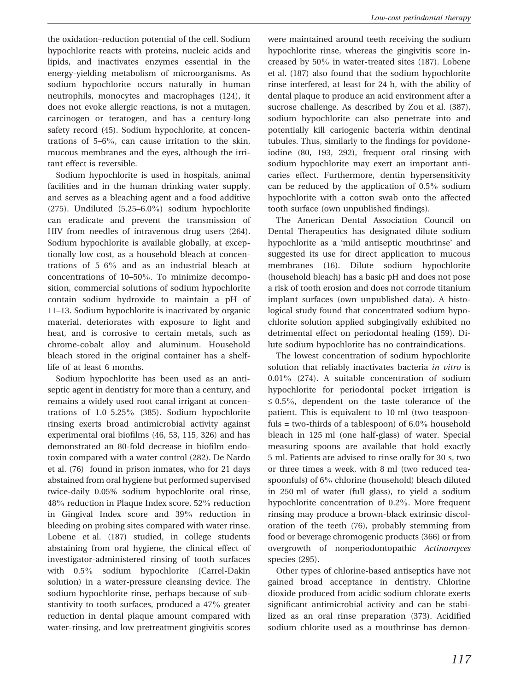the oxidation–reduction potential of the cell. Sodium hypochlorite reacts with proteins, nucleic acids and lipids, and inactivates enzymes essential in the energy-yielding metabolism of microorganisms. As sodium hypochlorite occurs naturally in human neutrophils, monocytes and macrophages (124), it does not evoke allergic reactions, is not a mutagen, carcinogen or teratogen, and has a century-long safety record (45). Sodium hypochlorite, at concentrations of 5–6%, can cause irritation to the skin, mucous membranes and the eyes, although the irritant effect is reversible.

Sodium hypochlorite is used in hospitals, animal facilities and in the human drinking water supply, and serves as a bleaching agent and a food additive (275). Undiluted (5.25–6.0%) sodium hypochlorite can eradicate and prevent the transmission of HIV from needles of intravenous drug users (264). Sodium hypochlorite is available globally, at exceptionally low cost, as a household bleach at concentrations of 5–6% and as an industrial bleach at concentrations of 10–50%. To minimize decomposition, commercial solutions of sodium hypochlorite contain sodium hydroxide to maintain a pH of 11–13. Sodium hypochlorite is inactivated by organic material, deteriorates with exposure to light and heat, and is corrosive to certain metals, such as chrome-cobalt alloy and aluminum. Household bleach stored in the original container has a shelflife of at least 6 months.

Sodium hypochlorite has been used as an antiseptic agent in dentistry for more than a century, and remains a widely used root canal irrigant at concentrations of 1.0–5.25% (385). Sodium hypochlorite rinsing exerts broad antimicrobial activity against experimental oral biofilms (46, 53, 115, 326) and has demonstrated an 80-fold decrease in biofilm endotoxin compared with a water control (282). De Nardo et al. (76) found in prison inmates, who for 21 days abstained from oral hygiene but performed supervised twice-daily 0.05% sodium hypochlorite oral rinse, 48% reduction in Plaque Index score, 52% reduction in Gingival Index score and 39% reduction in bleeding on probing sites compared with water rinse. Lobene et al. (187) studied, in college students abstaining from oral hygiene, the clinical effect of investigator-administered rinsing of tooth surfaces with 0.5% sodium hypochlorite (Carrel-Dakin solution) in a water-pressure cleansing device. The sodium hypochlorite rinse, perhaps because of substantivity to tooth surfaces, produced a 47% greater reduction in dental plaque amount compared with water-rinsing, and low pretreatment gingivitis scores were maintained around teeth receiving the sodium hypochlorite rinse, whereas the gingivitis score increased by 50% in water-treated sites (187). Lobene et al. (187) also found that the sodium hypochlorite rinse interfered, at least for 24 h, with the ability of dental plaque to produce an acid environment after a sucrose challenge. As described by Zou et al. (387), sodium hypochlorite can also penetrate into and potentially kill cariogenic bacteria within dentinal tubules. Thus, similarly to the findings for povidoneiodine (80, 193, 292), frequent oral rinsing with sodium hypochlorite may exert an important anticaries effect. Furthermore, dentin hypersensitivity can be reduced by the application of 0.5% sodium hypochlorite with a cotton swab onto the affected tooth surface (own unpublished findings).

The American Dental Association Council on Dental Therapeutics has designated dilute sodium hypochlorite as a 'mild antiseptic mouthrinse' and suggested its use for direct application to mucous membranes (16). Dilute sodium hypochlorite (household bleach) has a basic pH and does not pose a risk of tooth erosion and does not corrode titanium implant surfaces (own unpublished data). A histological study found that concentrated sodium hypochlorite solution applied subgingivally exhibited no detrimental effect on periodontal healing (159). Dilute sodium hypochlorite has no contraindications.

The lowest concentration of sodium hypochlorite solution that reliably inactivates bacteria in vitro is 0.01% (274). A suitable concentration of sodium hypochlorite for periodontal pocket irrigation is  $\leq 0.5\%$ , dependent on the taste tolerance of the patient. This is equivalent to 10 ml (two teaspoonfuls = two-thirds of a tablespoon) of  $6.0\%$  household bleach in 125 ml (one half-glass) of water. Special measuring spoons are available that hold exactly 5 ml. Patients are advised to rinse orally for 30 s, two or three times a week, with 8 ml (two reduced teaspoonfuls) of 6% chlorine (household) bleach diluted in 250 ml of water (full glass), to yield a sodium hypochlorite concentration of 0.2%. More frequent rinsing may produce a brown-black extrinsic discoloration of the teeth (76), probably stemming from food or beverage chromogenic products (366) or from overgrowth of nonperiodontopathic Actinomyces species (295).

Other types of chlorine-based antiseptics have not gained broad acceptance in dentistry. Chlorine dioxide produced from acidic sodium chlorate exerts significant antimicrobial activity and can be stabilized as an oral rinse preparation (373). Acidified sodium chlorite used as a mouthrinse has demon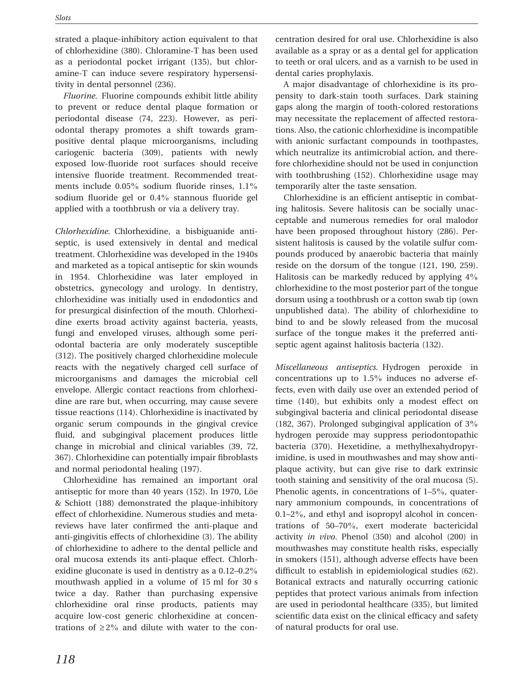strated a plaque-inhibitory action equivalent to that of chlorhexidine (380). Chloramine-T has been used as a periodontal pocket irrigant (135), but chloramine-T can induce severe respiratory hypersensitivity in dental personnel (236).

Fluorine. Fluorine compounds exhibit little ability to prevent or reduce dental plaque formation or periodontal disease (74, 223). However, as periodontal therapy promotes a shift towards grampositive dental plaque microorganisms, including cariogenic bacteria (309), patients with newly exposed low-fluoride root surfaces should receive intensive fluoride treatment. Recommended treatments include 0.05% sodium fluoride rinses, 1.1% sodium fluoride gel or 0.4% stannous fluoride gel applied with a toothbrush or via a delivery tray.

Chlorhexidine. Chlorhexidine, a bisbiguanide antiseptic, is used extensively in dental and medical treatment. Chlorhexidine was developed in the 1940s and marketed as a topical antiseptic for skin wounds in 1954. Chlorhexidine was later employed in obstetrics, gynecology and urology. In dentistry, chlorhexidine was initially used in endodontics and for presurgical disinfection of the mouth. Chlorhexidine exerts broad activity against bacteria, yeasts, fungi and enveloped viruses, although some periodontal bacteria are only moderately susceptible (312). The positively charged chlorhexidine molecule reacts with the negatively charged cell surface of microorganisms and damages the microbial cell envelope. Allergic contact reactions from chlorhexidine are rare but, when occurring, may cause severe tissue reactions (114). Chlorhexidine is inactivated by organic serum compounds in the gingival crevice fluid, and subgingival placement produces little change in microbial and clinical variables (39, 72, 367). Chlorhexidine can potentially impair fibroblasts and normal periodontal healing (197).

Chlorhexidine has remained an important oral antiseptic for more than 40 years (152). In 1970, Löe & Schiott (188) demonstrated the plaque-inhibitory effect of chlorhexidine. Numerous studies and metareviews have later confirmed the anti-plaque and anti-gingivitis effects of chlorhexidine (3). The ability of chlorhexidine to adhere to the dental pellicle and oral mucosa extends its anti-plaque effect. Chlorhexidine gluconate is used in dentistry as a 0.12–0.2% mouthwash applied in a volume of 15 ml for 30 s twice a day. Rather than purchasing expensive chlorhexidine oral rinse products, patients may acquire low-cost generic chlorhexidine at concentrations of  $\geq 2\%$  and dilute with water to the concentration desired for oral use. Chlorhexidine is also available as a spray or as a dental gel for application to teeth or oral ulcers, and as a varnish to be used in dental caries prophylaxis.

A major disadvantage of chlorhexidine is its propensity to dark-stain tooth surfaces. Dark staining gaps along the margin of tooth-colored restorations may necessitate the replacement of affected restorations. Also, the cationic chlorhexidine is incompatible with anionic surfactant compounds in toothpastes, which neutralize its antimicrobial action, and therefore chlorhexidine should not be used in conjunction with toothbrushing (152). Chlorhexidine usage may temporarily alter the taste sensation.

Chlorhexidine is an efficient antiseptic in combating halitosis. Severe halitosis can be socially unacceptable and numerous remedies for oral malodor have been proposed throughout history (286). Persistent halitosis is caused by the volatile sulfur compounds produced by anaerobic bacteria that mainly reside on the dorsum of the tongue (121, 190, 259). Halitosis can be markedly reduced by applying 4% chlorhexidine to the most posterior part of the tongue dorsum using a toothbrush or a cotton swab tip (own unpublished data). The ability of chlorhexidine to bind to and be slowly released from the mucosal surface of the tongue makes it the preferred antiseptic agent against halitosis bacteria (132).

Miscellaneous antiseptics. Hydrogen peroxide in concentrations up to 1.5% induces no adverse effects, even with daily use over an extended period of time (140), but exhibits only a modest effect on subgingival bacteria and clinical periodontal disease (182, 367). Prolonged subgingival application of 3% hydrogen peroxide may suppress periodontopathic bacteria (370). Hexetidine, a methylhexahydropyrimidine, is used in mouthwashes and may show antiplaque activity, but can give rise to dark extrinsic tooth staining and sensitivity of the oral mucosa (5). Phenolic agents, in concentrations of 1–5%, quaternary ammonium compounds, in concentrations of 0.1–2%, and ethyl and isopropyl alcohol in concentrations of 50–70%, exert moderate bactericidal activity in vivo. Phenol (350) and alcohol (200) in mouthwashes may constitute health risks, especially in smokers (151), although adverse effects have been difficult to establish in epidemiological studies (62). Botanical extracts and naturally occurring cationic peptides that protect various animals from infection are used in periodontal healthcare (335), but limited scientific data exist on the clinical efficacy and safety of natural products for oral use.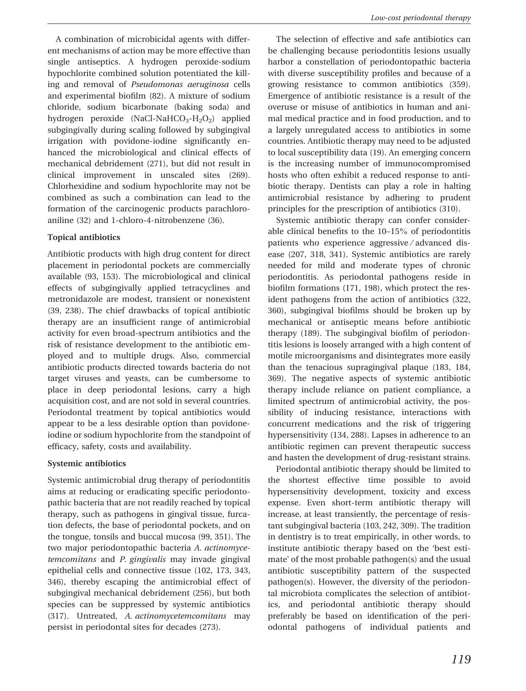A combination of microbicidal agents with different mechanisms of action may be more effective than single antiseptics. A hydrogen peroxide-sodium hypochlorite combined solution potentiated the killing and removal of Pseudomonas aeruginosa cells and experimental biofilm (82). A mixture of sodium chloride, sodium bicarbonate (baking soda) and hydrogen peroxide  $(NaCl-NaHCO<sub>3</sub>-H<sub>2</sub>O<sub>2</sub>)$  applied subgingivally during scaling followed by subgingival irrigation with povidone-iodine significantly enhanced the microbiological and clinical effects of mechanical debridement (271), but did not result in clinical improvement in unscaled sites (269). Chlorhexidine and sodium hypochlorite may not be combined as such a combination can lead to the formation of the carcinogenic products parachloroaniline (32) and 1-chloro-4-nitrobenzene (36).

#### Topical antibiotics

Antibiotic products with high drug content for direct placement in periodontal pockets are commercially available (93, 153). The microbiological and clinical effects of subgingivally applied tetracyclines and metronidazole are modest, transient or nonexistent (39, 238). The chief drawbacks of topical antibiotic therapy are an insufficient range of antimicrobial activity for even broad-spectrum antibiotics and the risk of resistance development to the antibiotic employed and to multiple drugs. Also, commercial antibiotic products directed towards bacteria do not target viruses and yeasts, can be cumbersome to place in deep periodontal lesions, carry a high acquisition cost, and are not sold in several countries. Periodontal treatment by topical antibiotics would appear to be a less desirable option than povidoneiodine or sodium hypochlorite from the standpoint of efficacy, safety, costs and availability.

#### Systemic antibiotics

Systemic antimicrobial drug therapy of periodontitis aims at reducing or eradicating specific periodontopathic bacteria that are not readily reached by topical therapy, such as pathogens in gingival tissue, furcation defects, the base of periodontal pockets, and on the tongue, tonsils and buccal mucosa (99, 351). The two major periodontopathic bacteria A. actinomycetemcomitans and P. gingivalis may invade gingival epithelial cells and connective tissue (102, 173, 343, 346), thereby escaping the antimicrobial effect of subgingival mechanical debridement (256), but both species can be suppressed by systemic antibiotics (317). Untreated, A. actinomycetemcomitans may persist in periodontal sites for decades (273).

The selection of effective and safe antibiotics can be challenging because periodontitis lesions usually harbor a constellation of periodontopathic bacteria with diverse susceptibility profiles and because of a growing resistance to common antibiotics (359). Emergence of antibiotic resistance is a result of the overuse or misuse of antibiotics in human and animal medical practice and in food production, and to a largely unregulated access to antibiotics in some countries. Antibiotic therapy may need to be adjusted to local susceptibility data (19). An emerging concern is the increasing number of immunocompromised hosts who often exhibit a reduced response to antibiotic therapy. Dentists can play a role in halting antimicrobial resistance by adhering to prudent principles for the prescription of antibiotics (310).

Systemic antibiotic therapy can confer considerable clinical benefits to the 10–15% of periodontitis patients who experience aggressive ⁄ advanced disease (207, 318, 341). Systemic antibiotics are rarely needed for mild and moderate types of chronic periodontitis. As periodontal pathogens reside in biofilm formations (171, 198), which protect the resident pathogens from the action of antibiotics (322, 360), subgingival biofilms should be broken up by mechanical or antiseptic means before antibiotic therapy (189). The subgingival biofilm of periodontitis lesions is loosely arranged with a high content of motile microorganisms and disintegrates more easily than the tenacious supragingival plaque (183, 184, 369). The negative aspects of systemic antibiotic therapy include reliance on patient compliance, a limited spectrum of antimicrobial activity, the possibility of inducing resistance, interactions with concurrent medications and the risk of triggering hypersensitivity (134, 288). Lapses in adherence to an antibiotic regimen can prevent therapeutic success and hasten the development of drug-resistant strains.

Periodontal antibiotic therapy should be limited to the shortest effective time possible to avoid hypersensitivity development, toxicity and excess expense. Even short-term antibiotic therapy will increase, at least transiently, the percentage of resistant subgingival bacteria (103, 242, 309). The tradition in dentistry is to treat empirically, in other words, to institute antibiotic therapy based on the 'best estimate' of the most probable pathogen(s) and the usual antibiotic susceptibility pattern of the suspected pathogen(s). However, the diversity of the periodontal microbiota complicates the selection of antibiotics, and periodontal antibiotic therapy should preferably be based on identification of the periodontal pathogens of individual patients and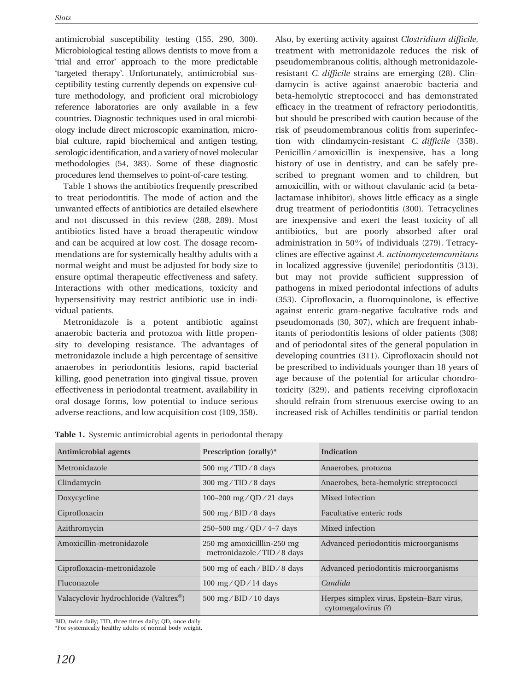antimicrobial susceptibility testing (155, 290, 300). Microbiological testing allows dentists to move from a 'trial and error' approach to the more predictable ʻtargeted therapy'. Unfortunately, antimicrobial susceptibility testing currently depends on expensive culture methodology, and proficient oral microbiology reference laboratories are only available in a few countries. Diagnostic techniques used in oral microbiology include direct microscopic examination, microbial culture, rapid biochemical and antigen testing, serologic identification, and a variety of novel molecular methodologies (54, 383). Some of these diagnostic procedures lend themselves to point-of-care testing.

Table 1 shows the antibiotics frequently prescribed to treat periodontitis. The mode of action and the unwanted effects of antibiotics are detailed elsewhere and not discussed in this review (288, 289). Most antibiotics listed have a broad therapeutic window and can be acquired at low cost. The dosage recommendations are for systemically healthy adults with a normal weight and must be adjusted for body size to ensure optimal therapeutic effectiveness and safety. Interactions with other medications, toxicity and hypersensitivity may restrict antibiotic use in individual patients.

Metronidazole is a potent antibiotic against anaerobic bacteria and protozoa with little propensity to developing resistance. The advantages of metronidazole include a high percentage of sensitive anaerobes in periodontitis lesions, rapid bacterial killing, good penetration into gingival tissue, proven effectiveness in periodontal treatment, availability in oral dosage forms, low potential to induce serious adverse reactions, and low acquisition cost (109, 358).

Also, by exerting activity against Clostridium difficile, treatment with metronidazole reduces the risk of pseudomembranous colitis, although metronidazoleresistant C. difficile strains are emerging (28). Clindamycin is active against anaerobic bacteria and beta-hemolytic streptococci and has demonstrated efficacy in the treatment of refractory periodontitis, but should be prescribed with caution because of the risk of pseudomembranous colitis from superinfection with clindamycin-resistant C. difficile (358). Penicillin ⁄ amoxicillin is inexpensive, has a long history of use in dentistry, and can be safely prescribed to pregnant women and to children, but amoxicillin, with or without clavulanic acid (a betalactamase inhibitor), shows little efficacy as a single drug treatment of periodontitis (300). Tetracyclines are inexpensive and exert the least toxicity of all antibiotics, but are poorly absorbed after oral administration in 50% of individuals (279). Tetracyclines are effective against A. actinomycetemcomitans in localized aggressive (juvenile) periodontitis (313), but may not provide sufficient suppression of pathogens in mixed periodontal infections of adults (353). Ciprofloxacin, a fluoroquinolone, is effective against enteric gram-negative facultative rods and pseudomonads (30, 307), which are frequent inhabitants of periodontitis lesions of older patients (308) and of periodontal sites of the general population in developing countries (311). Ciprofloxacin should not be prescribed to individuals younger than 18 years of age because of the potential for articular chondrotoxicity (329), and patients receiving ciprofloxacin should refrain from strenuous exercise owing to an increased risk of Achilles tendinitis or partial tendon

| Antimicrobial agents                               | Prescription (orally)*                                    | <b>Indication</b>                                                |
|----------------------------------------------------|-----------------------------------------------------------|------------------------------------------------------------------|
| Metronidazole                                      | 500 mg/TID/8 days                                         | Anaerobes, protozoa                                              |
| Clindamycin                                        | $300 \text{ mg/TID} / 8 \text{ days}$                     | Anaerobes, beta-hemolytic streptococci                           |
| Doxycycline                                        | 100–200 mg/QD/21 days                                     | Mixed infection                                                  |
| Ciprofloxacin                                      | 500 mg/BID/8 days                                         | Facultative enteric rods                                         |
| Azithromycin                                       | 250–500 mg/QD/4–7 days                                    | Mixed infection                                                  |
| Amoxicillin-metronidazole                          | 250 mg amoxicillin-250 mg<br>metronidazole / TID / 8 days | Advanced periodontitis microorganisms                            |
| Ciprofloxacin-metronidazole                        | 500 mg of each/BID/8 days                                 | Advanced periodontitis microorganisms                            |
| Fluconazole                                        | $100 \text{ mg}/QD/14 \text{ days}$                       | Candida                                                          |
| Valacyclovir hydrochloride (Valtrex <sup>®</sup> ) | 500 mg/BID/10 days                                        | Herpes simplex virus, Epstein–Barr virus,<br>cytomegalovirus (?) |

Table 1. Systemic antimicrobial agents in periodontal therapy

BID, twice daily; TID, three times daily; QD, once daily.

\*For systemically healthy adults of normal body weight.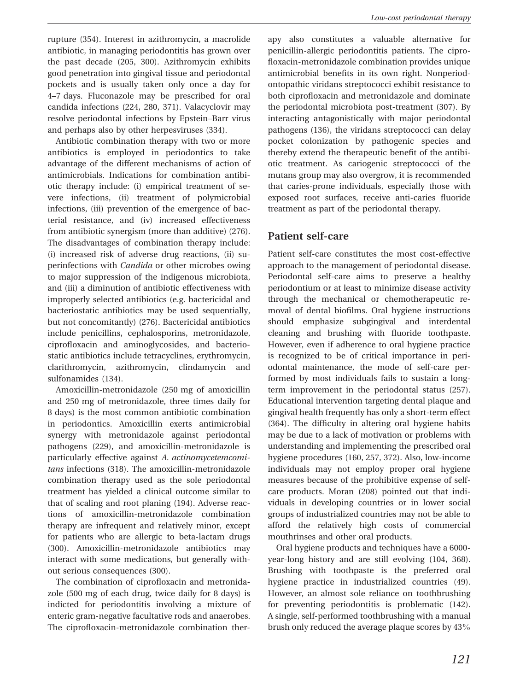rupture (354). Interest in azithromycin, a macrolide antibiotic, in managing periodontitis has grown over the past decade (205, 300). Azithromycin exhibits good penetration into gingival tissue and periodontal pockets and is usually taken only once a day for 4–7 days. Fluconazole may be prescribed for oral candida infections (224, 280, 371). Valacyclovir may resolve periodontal infections by Epstein–Barr virus and perhaps also by other herpesviruses (334).

Antibiotic combination therapy with two or more antibiotics is employed in periodontics to take advantage of the different mechanisms of action of antimicrobials. Indications for combination antibiotic therapy include: (i) empirical treatment of severe infections, (ii) treatment of polymicrobial infections, (iii) prevention of the emergence of bacterial resistance, and (iv) increased effectiveness from antibiotic synergism (more than additive) (276). The disadvantages of combination therapy include: (i) increased risk of adverse drug reactions, (ii) superinfections with Candida or other microbes owing to major suppression of the indigenous microbiota, and (iii) a diminution of antibiotic effectiveness with improperly selected antibiotics (e.g. bactericidal and bacteriostatic antibiotics may be used sequentially, but not concomitantly) (276). Bactericidal antibiotics include penicillins, cephalosporins, metronidazole, ciprofloxacin and aminoglycosides, and bacteriostatic antibiotics include tetracyclines, erythromycin, clarithromycin, azithromycin, clindamycin and sulfonamides (134).

Amoxicillin-metronidazole (250 mg of amoxicillin and 250 mg of metronidazole, three times daily for 8 days) is the most common antibiotic combination in periodontics. Amoxicillin exerts antimicrobial synergy with metronidazole against periodontal pathogens (229), and amoxicillin-metronidazole is particularly effective against A. actinomycetemcomitans infections (318). The amoxicillin-metronidazole combination therapy used as the sole periodontal treatment has yielded a clinical outcome similar to that of scaling and root planing (194). Adverse reactions of amoxicillin-metronidazole combination therapy are infrequent and relatively minor, except for patients who are allergic to beta-lactam drugs (300). Amoxicillin-metronidazole antibiotics may interact with some medications, but generally without serious consequences (300).

The combination of ciprofloxacin and metronidazole (500 mg of each drug, twice daily for 8 days) is indicted for periodontitis involving a mixture of enteric gram-negative facultative rods and anaerobes. The ciprofloxacin-metronidazole combination therapy also constitutes a valuable alternative for penicillin-allergic periodontitis patients. The ciprofloxacin-metronidazole combination provides unique antimicrobial benefits in its own right. Nonperiodontopathic viridans streptococci exhibit resistance to both ciprofloxacin and metronidazole and dominate the periodontal microbiota post-treatment (307). By interacting antagonistically with major periodontal pathogens (136), the viridans streptococci can delay pocket colonization by pathogenic species and thereby extend the therapeutic benefit of the antibiotic treatment. As cariogenic streptococci of the mutans group may also overgrow, it is recommended that caries-prone individuals, especially those with exposed root surfaces, receive anti-caries fluoride treatment as part of the periodontal therapy.

## Patient self-care

Patient self-care constitutes the most cost-effective approach to the management of periodontal disease. Periodontal self-care aims to preserve a healthy periodontium or at least to minimize disease activity through the mechanical or chemotherapeutic removal of dental biofilms. Oral hygiene instructions should emphasize subgingival and interdental cleaning and brushing with fluoride toothpaste. However, even if adherence to oral hygiene practice is recognized to be of critical importance in periodontal maintenance, the mode of self-care performed by most individuals fails to sustain a longterm improvement in the periodontal status (257). Educational intervention targeting dental plaque and gingival health frequently has only a short-term effect (364). The difficulty in altering oral hygiene habits may be due to a lack of motivation or problems with understanding and implementing the prescribed oral hygiene procedures (160, 257, 372). Also, low-income individuals may not employ proper oral hygiene measures because of the prohibitive expense of selfcare products. Moran (208) pointed out that individuals in developing countries or in lower social groups of industrialized countries may not be able to afford the relatively high costs of commercial mouthrinses and other oral products.

Oral hygiene products and techniques have a 6000 year-long history and are still evolving (104, 368). Brushing with toothpaste is the preferred oral hygiene practice in industrialized countries (49). However, an almost sole reliance on toothbrushing for preventing periodontitis is problematic (142). A single, self-performed toothbrushing with a manual brush only reduced the average plaque scores by 43%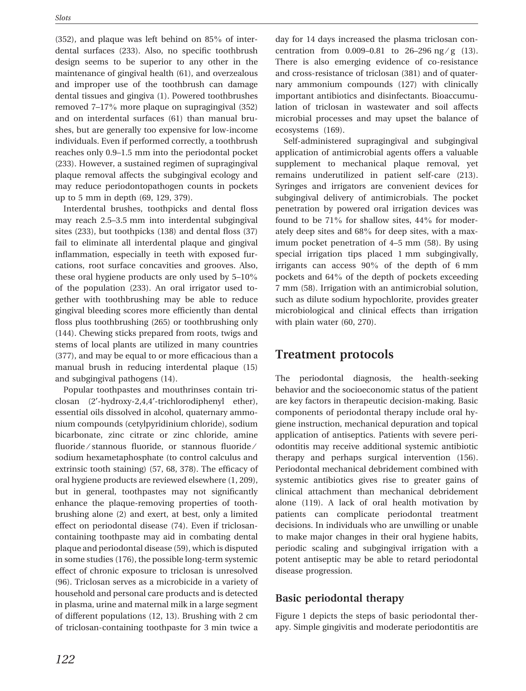(352), and plaque was left behind on 85% of interdental surfaces (233). Also, no specific toothbrush design seems to be superior to any other in the maintenance of gingival health (61), and overzealous and improper use of the toothbrush can damage dental tissues and gingiva (1). Powered toothbrushes removed 7–17% more plaque on supragingival (352) and on interdental surfaces (61) than manual brushes, but are generally too expensive for low-income individuals. Even if performed correctly, a toothbrush reaches only 0.9–1.5 mm into the periodontal pocket (233). However, a sustained regimen of supragingival plaque removal affects the subgingival ecology and may reduce periodontopathogen counts in pockets up to 5 mm in depth (69, 129, 379).

Interdental brushes, toothpicks and dental floss may reach 2.5–3.5 mm into interdental subgingival sites (233), but toothpicks (138) and dental floss (37) fail to eliminate all interdental plaque and gingival inflammation, especially in teeth with exposed furcations, root surface concavities and grooves. Also, these oral hygiene products are only used by 5–10% of the population (233). An oral irrigator used together with toothbrushing may be able to reduce gingival bleeding scores more efficiently than dental floss plus toothbrushing (265) or toothbrushing only (144). Chewing sticks prepared from roots, twigs and stems of local plants are utilized in many countries (377), and may be equal to or more efficacious than a manual brush in reducing interdental plaque (15) and subgingival pathogens (14).

Popular toothpastes and mouthrinses contain triclosan (2¢-hydroxy-2,4,4¢-trichlorodiphenyl ether), essential oils dissolved in alcohol, quaternary ammonium compounds (cetylpyridinium chloride), sodium bicarbonate, zinc citrate or zinc chloride, amine fluoride ⁄ stannous fluoride, or stannous fluoride ⁄ sodium hexametaphosphate (to control calculus and extrinsic tooth staining) (57, 68, 378). The efficacy of oral hygiene products are reviewed elsewhere (1, 209), but in general, toothpastes may not significantly enhance the plaque-removing properties of toothbrushing alone (2) and exert, at best, only a limited effect on periodontal disease (74). Even if triclosancontaining toothpaste may aid in combating dental plaque and periodontal disease (59), which is disputed in some studies (176), the possible long-term systemic effect of chronic exposure to triclosan is unresolved (96). Triclosan serves as a microbicide in a variety of household and personal care products and is detected in plasma, urine and maternal milk in a large segment of different populations (12, 13). Brushing with 2 cm of triclosan-containing toothpaste for 3 min twice a day for 14 days increased the plasma triclosan concentration from 0.009–0.81 to 26–296 ng/g (13). There is also emerging evidence of co-resistance and cross-resistance of triclosan (381) and of quaternary ammonium compounds (127) with clinically important antibiotics and disinfectants. Bioaccumulation of triclosan in wastewater and soil affects microbial processes and may upset the balance of ecosystems (169).

Self-administered supragingival and subgingival application of antimicrobial agents offers a valuable supplement to mechanical plaque removal, yet remains underutilized in patient self-care (213). Syringes and irrigators are convenient devices for subgingival delivery of antimicrobials. The pocket penetration by powered oral irrigation devices was found to be 71% for shallow sites, 44% for moderately deep sites and 68% for deep sites, with a maximum pocket penetration of 4–5 mm (58). By using special irrigation tips placed 1 mm subgingivally, irrigants can access 90% of the depth of 6 mm pockets and 64% of the depth of pockets exceeding 7 mm (58). Irrigation with an antimicrobial solution, such as dilute sodium hypochlorite, provides greater microbiological and clinical effects than irrigation with plain water (60, 270).

# Treatment protocols

The periodontal diagnosis, the health-seeking behavior and the socioeconomic status of the patient are key factors in therapeutic decision-making. Basic components of periodontal therapy include oral hygiene instruction, mechanical depuration and topical application of antiseptics. Patients with severe periodontitis may receive additional systemic antibiotic therapy and perhaps surgical intervention (156). Periodontal mechanical debridement combined with systemic antibiotics gives rise to greater gains of clinical attachment than mechanical debridement alone (119). A lack of oral health motivation by patients can complicate periodontal treatment decisions. In individuals who are unwilling or unable to make major changes in their oral hygiene habits, periodic scaling and subgingival irrigation with a potent antiseptic may be able to retard periodontal disease progression.

## Basic periodontal therapy

Figure 1 depicts the steps of basic periodontal therapy. Simple gingivitis and moderate periodontitis are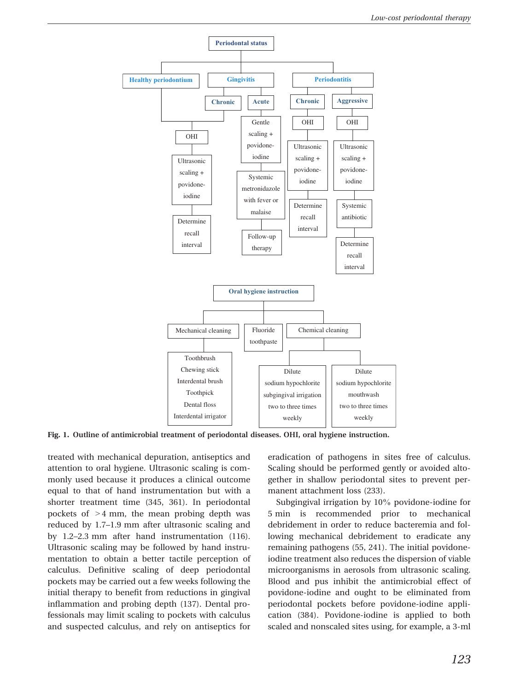

Fig. 1. Outline of antimicrobial treatment of periodontal diseases. OHI, oral hygiene instruction.

treated with mechanical depuration, antiseptics and attention to oral hygiene. Ultrasonic scaling is commonly used because it produces a clinical outcome equal to that of hand instrumentation but with a shorter treatment time (345, 361). In periodontal pockets of >4 mm, the mean probing depth was reduced by 1.7–1.9 mm after ultrasonic scaling and by 1.2–2.3 mm after hand instrumentation (116). Ultrasonic scaling may be followed by hand instrumentation to obtain a better tactile perception of calculus. Definitive scaling of deep periodontal pockets may be carried out a few weeks following the initial therapy to benefit from reductions in gingival inflammation and probing depth (137). Dental professionals may limit scaling to pockets with calculus and suspected calculus, and rely on antiseptics for

eradication of pathogens in sites free of calculus. Scaling should be performed gently or avoided altogether in shallow periodontal sites to prevent permanent attachment loss (233).

Subgingival irrigation by 10% povidone-iodine for 5 min is recommended prior to mechanical debridement in order to reduce bacteremia and following mechanical debridement to eradicate any remaining pathogens (55, 241). The initial povidoneiodine treatment also reduces the dispersion of viable microorganisms in aerosols from ultrasonic scaling. Blood and pus inhibit the antimicrobial effect of povidone-iodine and ought to be eliminated from periodontal pockets before povidone-iodine application (384). Povidone-iodine is applied to both scaled and nonscaled sites using, for example, a 3-ml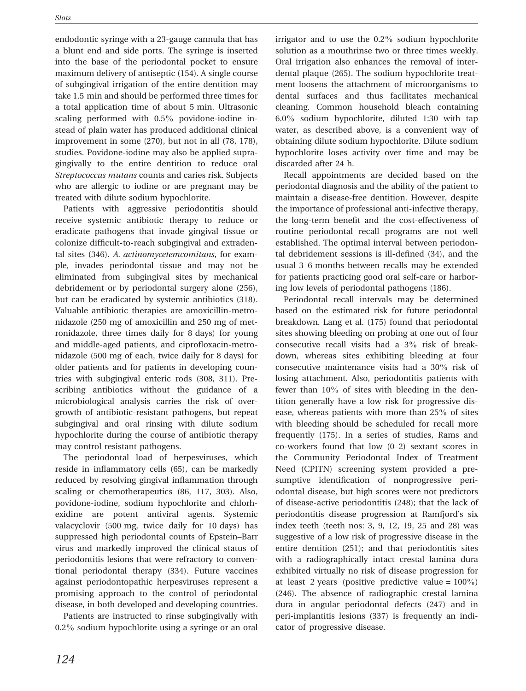endodontic syringe with a 23-gauge cannula that has a blunt end and side ports. The syringe is inserted into the base of the periodontal pocket to ensure maximum delivery of antiseptic (154). A single course of subgingival irrigation of the entire dentition may take 1.5 min and should be performed three times for a total application time of about 5 min. Ultrasonic scaling performed with 0.5% povidone-iodine instead of plain water has produced additional clinical improvement in some (270), but not in all (78, 178), studies. Povidone-iodine may also be applied supragingivally to the entire dentition to reduce oral Streptococcus mutans counts and caries risk. Subjects who are allergic to iodine or are pregnant may be treated with dilute sodium hypochlorite.

Patients with aggressive periodontitis should receive systemic antibiotic therapy to reduce or eradicate pathogens that invade gingival tissue or colonize difficult-to-reach subgingival and extradental sites (346). A. actinomycetemcomitans, for example, invades periodontal tissue and may not be eliminated from subgingival sites by mechanical debridement or by periodontal surgery alone (256), but can be eradicated by systemic antibiotics (318). Valuable antibiotic therapies are amoxicillin-metronidazole (250 mg of amoxicillin and 250 mg of metronidazole, three times daily for 8 days) for young and middle-aged patients, and ciprofloxacin-metronidazole (500 mg of each, twice daily for 8 days) for older patients and for patients in developing countries with subgingival enteric rods (308, 311). Prescribing antibiotics without the guidance of a microbiological analysis carries the risk of overgrowth of antibiotic-resistant pathogens, but repeat subgingival and oral rinsing with dilute sodium hypochlorite during the course of antibiotic therapy may control resistant pathogens.

The periodontal load of herpesviruses, which reside in inflammatory cells (65), can be markedly reduced by resolving gingival inflammation through scaling or chemotherapeutics (86, 117, 303). Also, povidone-iodine, sodium hypochlorite and chlorhexidine are potent antiviral agents. Systemic valacyclovir (500 mg, twice daily for 10 days) has suppressed high periodontal counts of Epstein–Barr virus and markedly improved the clinical status of periodontitis lesions that were refractory to conventional periodontal therapy (334). Future vaccines against periodontopathic herpesviruses represent a promising approach to the control of periodontal disease, in both developed and developing countries.

Patients are instructed to rinse subgingivally with 0.2% sodium hypochlorite using a syringe or an oral irrigator and to use the 0.2% sodium hypochlorite solution as a mouthrinse two or three times weekly. Oral irrigation also enhances the removal of interdental plaque (265). The sodium hypochlorite treatment loosens the attachment of microorganisms to dental surfaces and thus facilitates mechanical cleaning. Common household bleach containing 6.0% sodium hypochlorite, diluted 1:30 with tap water, as described above, is a convenient way of obtaining dilute sodium hypochlorite. Dilute sodium hypochlorite loses activity over time and may be discarded after 24 h.

Recall appointments are decided based on the periodontal diagnosis and the ability of the patient to maintain a disease-free dentition. However, despite the importance of professional anti-infective therapy, the long-term benefit and the cost-effectiveness of routine periodontal recall programs are not well established. The optimal interval between periodontal debridement sessions is ill-defined (34), and the usual 3–6 months between recalls may be extended for patients practicing good oral self-care or harboring low levels of periodontal pathogens (186).

Periodontal recall intervals may be determined based on the estimated risk for future periodontal breakdown. Lang et al. (175) found that periodontal sites showing bleeding on probing at one out of four consecutive recall visits had a 3% risk of breakdown, whereas sites exhibiting bleeding at four consecutive maintenance visits had a 30% risk of losing attachment. Also, periodontitis patients with fewer than 10% of sites with bleeding in the dentition generally have a low risk for progressive disease, whereas patients with more than 25% of sites with bleeding should be scheduled for recall more frequently (175). In a series of studies, Rams and co-workers found that low (0–2) sextant scores in the Community Periodontal Index of Treatment Need (CPITN) screening system provided a presumptive identification of nonprogressive periodontal disease, but high scores were not predictors of disease-active periodontitis (248); that the lack of periodontitis disease progression at Ramfjord's six index teeth (teeth nos: 3, 9, 12, 19, 25 and 28) was suggestive of a low risk of progressive disease in the entire dentition (251); and that periodontitis sites with a radiographically intact crestal lamina dura exhibited virtually no risk of disease progression for at least 2 years (positive predictive value =  $100\%$ ) (246). The absence of radiographic crestal lamina dura in angular periodontal defects (247) and in peri-implantitis lesions (337) is frequently an indicator of progressive disease.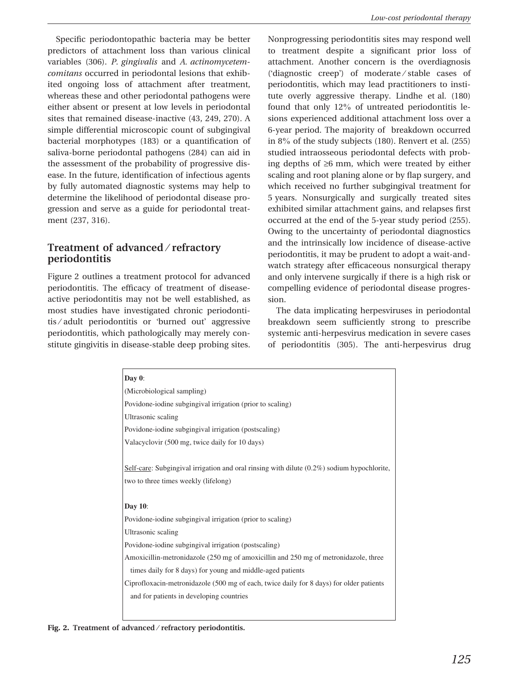Specific periodontopathic bacteria may be better predictors of attachment loss than various clinical variables (306). P. gingivalis and A. actinomycetemcomitans occurred in periodontal lesions that exhibited ongoing loss of attachment after treatment, whereas these and other periodontal pathogens were either absent or present at low levels in periodontal sites that remained disease-inactive (43, 249, 270). A simple differential microscopic count of subgingival bacterial morphotypes (183) or a quantification of saliva-borne periodontal pathogens (284) can aid in the assessment of the probability of progressive disease. In the future, identification of infectious agents by fully automated diagnostic systems may help to determine the likelihood of periodontal disease progression and serve as a guide for periodontal treatment (237, 316).

#### Treatment of advanced ⁄ refractory periodontitis

Figure 2 outlines a treatment protocol for advanced periodontitis. The efficacy of treatment of diseaseactive periodontitis may not be well established, as most studies have investigated chronic periodontitis / adult periodontitis or 'burned out' aggressive periodontitis, which pathologically may merely constitute gingivitis in disease-stable deep probing sites. Nonprogressing periodontitis sites may respond well to treatment despite a significant prior loss of attachment. Another concern is the overdiagnosis  $('diagnostic~creep')$  of moderate  $/$  stable cases of periodontitis, which may lead practitioners to institute overly aggressive therapy. Lindhe et al. (180) found that only 12% of untreated periodontitis lesions experienced additional attachment loss over a 6-year period. The majority of breakdown occurred in 8% of the study subjects (180). Renvert et al. (255) studied intraosseous periodontal defects with probing depths of  $\geq 6$  mm, which were treated by either scaling and root planing alone or by flap surgery, and which received no further subgingival treatment for 5 years. Nonsurgically and surgically treated sites exhibited similar attachment gains, and relapses first occurred at the end of the 5-year study period (255). Owing to the uncertainty of periodontal diagnostics and the intrinsically low incidence of disease-active periodontitis, it may be prudent to adopt a wait-andwatch strategy after efficaceous nonsurgical therapy and only intervene surgically if there is a high risk or compelling evidence of periodontal disease progression.

The data implicating herpesviruses in periodontal breakdown seem sufficiently strong to prescribe systemic anti-herpesvirus medication in severe cases of periodontitis (305). The anti-herpesvirus drug

| Day 0:                                                                                        |
|-----------------------------------------------------------------------------------------------|
| (Microbiological sampling)                                                                    |
| Povidone-iodine subgingival irrigation (prior to scaling)                                     |
| Ultrasonic scaling                                                                            |
| Povidone-iodine subgingival irrigation (postscaling)                                          |
| Valacyclovir (500 mg, twice daily for 10 days)                                                |
|                                                                                               |
| Self-care: Subgingival irrigation and oral rinsing with dilute $(0.2\%)$ sodium hypochlorite. |
| two to three times weekly (lifelong)                                                          |
|                                                                                               |
| Day 10:                                                                                       |
| Povidone-iodine subgingival irrigation (prior to scaling)                                     |
| Ultrasonic scaling                                                                            |
| Povidone-iodine subgingival irrigation (postscaling)                                          |
| Amoxicillin-metronidazole (250 mg of amoxicillin and 250 mg of metronidazole, three           |
| times daily for 8 days) for young and middle-aged patients                                    |
| Ciprofloxacin-metronidazole (500 mg of each, twice daily for 8 days) for older patients       |
| and for patients in developing countries                                                      |
|                                                                                               |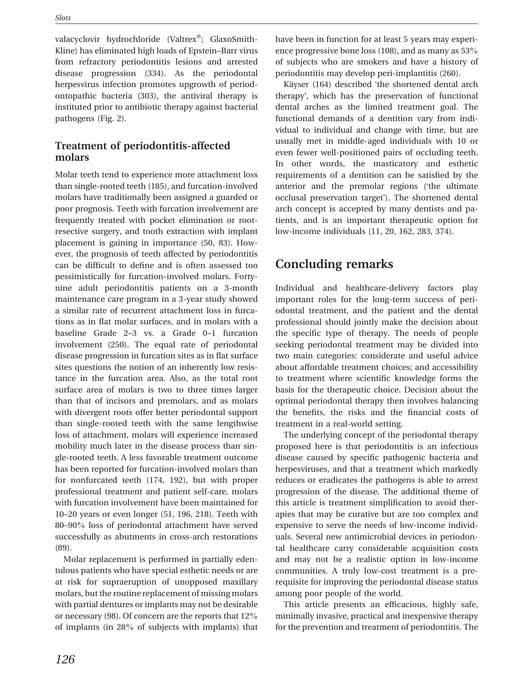valacyclovir hydrochloride (Valtrex®; GlaxoSmith-Kline) has eliminated high loads of Epstein–Barr virus from refractory periodontitis lesions and arrested disease progression (334). As the periodontal herpesvirus infection promotes upgrowth of periodontopathic bacteria (303), the antiviral therapy is instituted prior to antibiotic therapy against bacterial pathogens (Fig. 2).

## Treatment of periodontitis-affected molars

Molar teeth tend to experience more attachment loss than single-rooted teeth (185), and furcation-involved molars have traditionally been assigned a guarded or poor prognosis. Teeth with furcation involvement are frequently treated with pocket elimination or rootresective surgery, and tooth extraction with implant placement is gaining in importance (50, 83). However, the prognosis of teeth affected by periodontitis can be difficult to define and is often assessed too pessimistically for furcation-involved molars. Fortynine adult periodontitis patients on a 3-month maintenance care program in a 3-year study showed a similar rate of recurrent attachment loss in furcations as in flat molar surfaces, and in molars with a baseline Grade 2–3 vs. a Grade 0–1 furcation involvement (250). The equal rate of periodontal disease progression in furcation sites as in flat surface sites questions the notion of an inherently low resistance in the furcation area. Also, as the total root surface area of molars is two to three times larger than that of incisors and premolars, and as molars with divergent roots offer better periodontal support than single-rooted teeth with the same lengthwise loss of attachment, molars will experience increased mobility much later in the disease process than single-rooted teeth. A less favorable treatment outcome has been reported for furcation-involved molars than for nonfurcated teeth (174, 192), but with proper professional treatment and patient self-care, molars with furcation involvement have been maintained for 10–20 years or even longer (51, 196, 218). Teeth with 80–90% loss of periodontal attachment have served successfully as abutments in cross-arch restorations (89).

Molar replacement is performed in partially edentulous patients who have special esthetic needs or are at risk for supraeruption of unopposed maxillary molars, but the routine replacement of missing molars with partial dentures or implants may not be desirable or necessary (98). Of concern are the reports that 12% of implants (in 28% of subjects with implants) that have been in function for at least 5 years may experience progressive bone loss (108), and as many as 53% of subjects who are smokers and have a history of periodontitis may develop peri-implantitis (260).

Käyser (164) described 'the shortened dental arch therapy', which has the preservation of functional dental arches as the limited treatment goal. The functional demands of a dentition vary from individual to individual and change with time, but are usually met in middle-aged individuals with 10 or even fewer well-positioned pairs of occluding teeth. In other words, the masticatory and esthetic requirements of a dentition can be satisfied by the anterior and the premolar regions ('the ultimate occlusal preservation target'). The shortened dental arch concept is accepted by many dentists and patients, and is an important therapeutic option for low-income individuals (11, 20, 162, 283, 374).

# Concluding remarks

Individual and healthcare-delivery factors play important roles for the long-term success of periodontal treatment, and the patient and the dental professional should jointly make the decision about the specific type of therapy. The needs of people seeking periodontal treatment may be divided into two main categories: considerate and useful advice about affordable treatment choices; and accessibility to treatment where scientific knowledge forms the basis for the therapeutic choice. Decision about the optimal periodontal therapy then involves balancing the benefits, the risks and the financial costs of treatment in a real-world setting.

The underlying concept of the periodontal therapy proposed here is that periodontitis is an infectious disease caused by specific pathogenic bacteria and herpesviruses, and that a treatment which markedly reduces or eradicates the pathogens is able to arrest progression of the disease. The additional theme of this article is treatment simplification to avoid therapies that may be curative but are too complex and expensive to serve the needs of low-income individuals. Several new antimicrobial devices in periodontal healthcare carry considerable acquisition costs and may not be a realistic option in low-income communities. A truly low-cost treatment is a prerequisite for improving the periodontal disease status among poor people of the world.

This article presents an efficacious, highly safe, minimally invasive, practical and inexpensive therapy for the prevention and treatment of periodontitis. The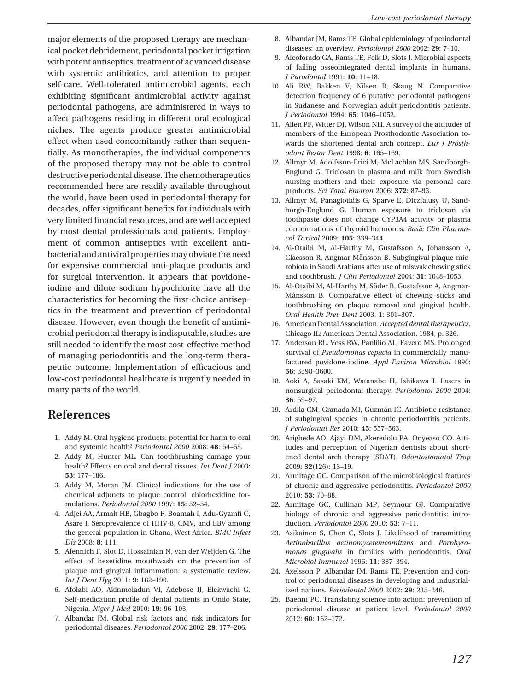major elements of the proposed therapy are mechanical pocket debridement, periodontal pocket irrigation with potent antiseptics, treatment of advanced disease with systemic antibiotics, and attention to proper self-care. Well-tolerated antimicrobial agents, each exhibiting significant antimicrobial activity against periodontal pathogens, are administered in ways to affect pathogens residing in different oral ecological niches. The agents produce greater antimicrobial effect when used concomitantly rather than sequentially. As monotherapies, the individual components of the proposed therapy may not be able to control destructive periodontal disease. The chemotherapeutics recommended here are readily available throughout the world, have been used in periodontal therapy for decades, offer significant benefits for individuals with very limited financial resources, and are well accepted by most dental professionals and patients. Employment of common antiseptics with excellent antibacterial and antiviral properties may obviate the need for expensive commercial anti-plaque products and for surgical intervention. It appears that povidoneiodine and dilute sodium hypochlorite have all the characteristics for becoming the first-choice antiseptics in the treatment and prevention of periodontal disease. However, even though the benefit of antimicrobial periodontal therapy is indisputable, studies are still needed to identify the most cost-effective method of managing periodontitis and the long-term therapeutic outcome. Implementation of efficacious and low-cost periodontal healthcare is urgently needed in many parts of the world.

# References

- 1. Addy M. Oral hygiene products: potential for harm to oral and systemic health? Periodontol 2000 2008: 48: 54–65.
- 2. Addy M, Hunter ML. Can toothbrushing damage your health? Effects on oral and dental tissues. Int Dent J 2003: 53: 177–186.
- 3. Addy M, Moran JM. Clinical indications for the use of chemical adjuncts to plaque control: chlorhexidine formulations. Periodontol 2000 1997: 15: 52–54.
- 4. Adjei AA, Armah HB, Gbagbo F, Boamah I, Adu-Gyamfi C, Asare I. Seroprevalence of HHV-8, CMV, and EBV among the general population in Ghana, West Africa. BMC Infect Dis 2008: 8: 111.
- 5. Afennich F, Slot D, Hossainian N, van der Weijden G. The effect of hexetidine mouthwash on the prevention of plaque and gingival inflammation: a systematic review. Int J Dent Hyg 2011: 9: 182–190.
- 6. Afolabi AO, Akinmoladun VI, Adebose IJ, Elekwachi G. Self-medication profile of dental patients in Ondo State, Nigeria. Niger J Med 2010: 19: 96–103.
- 7. Albandar JM. Global risk factors and risk indicators for periodontal diseases. Periodontol 2000 2002: 29: 177–206.
- 8. Albandar JM, Rams TE. Global epidemiology of periodontal diseases: an overview. Periodontol 2000 2002: 29: 7–10.
- 9. Alcoforado GA, Rams TE, Feik D, Slots J. Microbial aspects of failing osseointegrated dental implants in humans. J Parodontol 1991: 10: 11–18.
- 10. Ali RW, Bakken V, Nilsen R, Skaug N. Comparative detection frequency of 6 putative periodontal pathogens in Sudanese and Norwegian adult periodontitis patients. J Periodontol 1994: 65: 1046–1052.
- 11. Allen PF, Witter DJ, Wilson NH. A survey of the attitudes of members of the European Prosthodontic Association towards the shortened dental arch concept. Eur J Prosthodont Restor Dent 1998: 6: 165–169.
- 12. Allmyr M, Adolfsson-Erici M, McLachlan MS, Sandborgh-Englund G. Triclosan in plasma and milk from Swedish nursing mothers and their exposure via personal care products. Sci Total Environ 2006: 372: 87–93.
- 13. Allmyr M, Panagiotidis G, Sparve E, Diczfalusy U, Sandborgh-Englund G. Human exposure to triclosan via toothpaste does not change CYP3A4 activity or plasma concentrations of thyroid hormones. Basic Clin Pharmacol Toxicol 2009: 105: 339–344.
- 14. Al-Otaibi M, Al-Harthy M, Gustafsson A, Johansson A, Claesson R, Angmar-Månsson B. Subgingival plaque microbiota in Saudi Arabians after use of miswak chewing stick and toothbrush. J Clin Periodontol 2004: 31: 1048–1053.
- 15. Al-Otaibi M, Al-Harthy M, Söder B, Gustafsson A, Angmar-Månsson B. Comparative effect of chewing sticks and toothbrushing on plaque removal and gingival health. Oral Health Prev Dent 2003: 1: 301–307.
- 16. American Dental Association. Accepted dental therapeutics. Chicago IL: American Dental Association, 1984, p. 326.
- 17. Anderson RL, Vess RW, Panlilio AL, Favero MS. Prolonged survival of Pseudomonas cepacia in commercially manufactured povidone-iodine. Appl Environ Microbiol 1990: 56: 3598–3600.
- 18. Aoki A, Sasaki KM, Watanabe H, Ishikawa I. Lasers in nonsurgical periodontal therapy. Periodontol 2000 2004: 36: 59–97.
- 19. Ardila CM, Granada MI, Guzmán IC. Antibiotic resistance of subgingival species in chronic periodontitis patients. J Periodontal Res 2010: 45: 557–563.
- 20. Arigbede AO, Ajayi DM, Akeredolu PA, Onyeaso CO. Attitudes and perception of Nigerian dentists about shortened dental arch therapy (SDAT). Odontostomatol Trop 2009: 32(126): 13–19.
- 21. Armitage GC. Comparison of the microbiological features of chronic and aggressive periodontitis. Periodontol 2000 2010: 53: 70–88.
- 22. Armitage GC, Cullinan MP, Seymour GJ. Comparative biology of chronic and aggressive periodontitis: introduction. Periodontol 2000 2010: 53: 7–11.
- 23. Asikainen S, Chen C, Slots J. Likelihood of transmitting Actinobacillus actinomycetemcomitans and Porphyromonas gingivalis in families with periodontitis. Oral Microbiol Immunol 1996: 11: 387–394.
- 24. Axelsson P, Albandar JM, Rams TE. Prevention and control of periodontal diseases in developing and industrialized nations. Periodontol 2000 2002: 29: 235–246.
- 25. Baehni PC. Translating science into action: prevention of periodontal disease at patient level. Periodontol 2000 2012: 60: 162–172.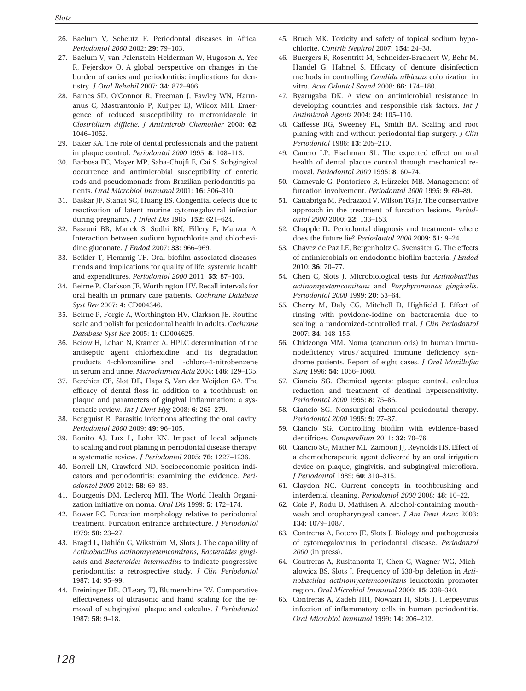- 26. Baelum V, Scheutz F. Periodontal diseases in Africa. Periodontol 2000 2002: 29: 79–103.
- 27. Baelum V, van Palenstein Helderman W, Hugoson A, Yee R, Fejerskov O. A global perspective on changes in the burden of caries and periodontitis: implications for dentistry. J Oral Rehabil 2007: 34: 872–906.
- 28. Baines SD, O'Connor R, Freeman J, Fawley WN, Harmanus C, Mastrantonio P, Kuijper EJ, Wilcox MH. Emergence of reduced susceptibility to metronidazole in Clostridium difficile. J Antimicrob Chemother 2008: 62: 1046–1052.
- 29. Baker KA. The role of dental professionals and the patient in plaque control. Periodontol 2000 1995: 8: 108–113.
- 30. Barbosa FC, Mayer MP, Saba-Chujfi E, Cai S. Subgingival occurrence and antimicrobial susceptibility of enteric rods and pseudomonads from Brazilian periodontitis patients. Oral Microbiol Immunol 2001: 16: 306–310.
- 31. Baskar JF, Stanat SC, Huang ES. Congenital defects due to reactivation of latent murine cytomegaloviral infection during pregnancy. J Infect Dis 1985: 152: 621–624.
- 32. Basrani BR, Manek S, Sodhi RN, Fillery E, Manzur A. Interaction between sodium hypochlorite and chlorhexidine gluconate. *J Endod* 2007: 33: 966-969.
- 33. Beikler T, Flemmig TF. Oral biofilm-associated diseases: trends and implications for quality of life, systemic health and expenditures. Periodontol 2000 2011: 55: 87–103.
- 34. Beirne P, Clarkson JE, Worthington HV. Recall intervals for oral health in primary care patients. Cochrane Database Syst Rev 2007: 4: CD004346.
- 35. Beirne P, Forgie A, Worthington HV, Clarkson JE. Routine scale and polish for periodontal health in adults. Cochrane Database Syst Rev 2005: 1: CD004625.
- 36. Below H, Lehan N, Kramer A. HPLC determination of the antiseptic agent chlorhexidine and its degradation products 4-chloroaniline and 1-chloro-4-nitrobenzene in serum and urine. Microchimica Acta 2004: 146: 129–135.
- 37. Berchier CE, Slot DE, Haps S, Van der Weijden GA. The efficacy of dental floss in addition to a toothbrush on plaque and parameters of gingival inflammation: a systematic review. Int J Dent Hyg 2008: 6: 265-279.
- 38. Bergquist R. Parasitic infections affecting the oral cavity. Periodontol 2000 2009: 49: 96–105.
- 39. Bonito AJ, Lux L, Lohr KN. Impact of local adjuncts to scaling and root planing in periodontal disease therapy: a systematic review. J Periodontol 2005: 76: 1227–1236.
- 40. Borrell LN, Crawford ND. Socioeconomic position indicators and periodontitis: examining the evidence. Periodontol 2000 2012: 58: 69–83.
- 41. Bourgeois DM, Leclercq MH. The World Health Organization initiative on noma. Oral Dis 1999: 5: 172–174.
- 42. Bower RC. Furcation morphology relative to periodontal treatment. Furcation entrance architecture. J Periodontol 1979: 50: 23–27.
- 43. Bragd L, Dahlén G, Wikström M, Slots J. The capability of Actinobacillus actinomycetemcomitans, Bacteroides gingivalis and Bacteroides intermedius to indicate progressive periodontitis; a retrospective study. J Clin Periodontol 1987: 14: 95–99.
- 44. Breininger DR, O'Leary TJ, Blumenshine RV. Comparative effectiveness of ultrasonic and hand scaling for the removal of subgingival plaque and calculus. J Periodontol 1987: 58: 9–18.
- 45. Bruch MK. Toxicity and safety of topical sodium hypochlorite. Contrib Nephrol 2007: 154: 24–38.
- 46. Buergers R, Rosentritt M, Schneider-Brachert W, Behr M, Handel G, Hahnel S. Efficacy of denture disinfection methods in controlling Candida albicans colonization in vitro. Acta Odontol Scand 2008: 66: 174–180.
- 47. Byarugaba DK. A view on antimicrobial resistance in developing countries and responsible risk factors. Int J Antimicrob Agents 2004: 24: 105–110.
- 48. Caffesse RG, Sweeney PL, Smith BA. Scaling and root planing with and without periodontal flap surgery. J Clin Periodontol 1986: 13: 205–210.
- 49. Cancro LP, Fischman SL. The expected effect on oral health of dental plaque control through mechanical removal. Periodontol 2000 1995: 8: 60–74.
- 50. Carnevale G, Pontoriero R, Hürzeler MB. Management of furcation involvement. Periodontol 2000 1995: 9: 69–89.
- 51. Cattabriga M, Pedrazzoli V, Wilson TG Jr. The conservative approach in the treatment of furcation lesions. Periodontol 2000 2000: 22: 133–153.
- 52. Chapple IL. Periodontal diagnosis and treatment- where does the future lie? Periodontol 2000 2009: 51: 9–24.
- 53. Chávez de Paz LE, Bergenholtz G, Svensäter G. The effects of antimicrobials on endodontic biofilm bacteria. J Endod 2010: 36: 70–77.
- 54. Chen C, Slots J. Microbiological tests for Actinobacillus actinomycetemcomitans and Porphyromonas gingivalis. Periodontol 2000 1999: 20: 53–64.
- 55. Cherry M, Daly CG, Mitchell D, Highfield J. Effect of rinsing with povidone-iodine on bacteraemia due to scaling: a randomized-controlled trial. J Clin Periodontol 2007: 34: 148–155.
- 56. Chidzonga MM. Noma (cancrum oris) in human immunodeficiency virus ⁄ acquired immune deficiency syndrome patients. Report of eight cases. J Oral Maxillofac Surg 1996: 54: 1056–1060.
- 57. Ciancio SG. Chemical agents: plaque control, calculus reduction and treatment of dentinal hypersensitivity. Periodontol 2000 1995: 8: 75–86.
- 58. Ciancio SG. Nonsurgical chemical periodontal therapy. Periodontol 2000 1995: 9: 27–37.
- 59. Ciancio SG. Controlling biofilm with evidence-based dentifrices. Compendium 2011: 32: 70–76.
- 60. Ciancio SG, Mather ML, Zambon JJ, Reynolds HS. Effect of a chemotherapeutic agent delivered by an oral irrigation device on plaque, gingivitis, and subgingival microflora. J Periodontol 1989: 60: 310–315.
- 61. Claydon NC. Current concepts in toothbrushing and interdental cleaning. Periodontol 2000 2008: 48: 10–22.
- 62. Cole P, Rodu B, Mathisen A. Alcohol-containing mouthwash and oropharyngeal cancer. J Am Dent Assoc 2003: 134: 1079–1087.
- 63. Contreras A, Botero JE, Slots J. Biology and pathogenesis of cytomegalovirus in periodontal disease. Periodontol 2000 (in press).
- 64. Contreras A, Rusitanonta T, Chen C, Wagner WG, Michalowicz BS, Slots J. Frequency of 530-bp deletion in Actinobacillus actinomycetemcomitans leukotoxin promoter region. Oral Microbiol Immunol 2000: 15: 338–340.
- 65. Contreras A, Zadeh HH, Nowzari H, Slots J. Herpesvirus infection of inflammatory cells in human periodontitis. Oral Microbiol Immunol 1999: 14: 206–212.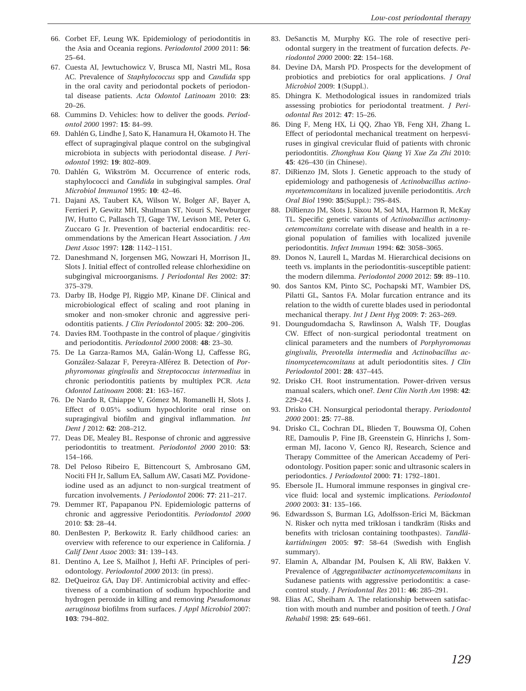- 66. Corbet EF, Leung WK. Epidemiology of periodontitis in the Asia and Oceania regions. Periodontol 2000 2011: 56: 25–64.
- 67. Cuesta AI, Jewtuchowicz V, Brusca MI, Nastri ML, Rosa AC. Prevalence of Staphylococcus spp and Candida spp in the oral cavity and periodontal pockets of periodontal disease patients. Acta Odontol Latinoam 2010: 23: 20–26.
- 68. Cummins D. Vehicles: how to deliver the goods. Periodontol 2000 1997: 15: 84–99.
- 69. Dahlén G, Lindhe J, Sato K, Hanamura H, Okamoto H. The effect of supragingival plaque control on the subgingival microbiota in subjects with periodontal disease. J Periodontol 1992: 19: 802–809.
- 70. Dahlén G, Wikström M. Occurrence of enteric rods, staphylococci and Candida in subgingival samples. Oral Microbiol Immunol 1995: 10: 42–46.
- 71. Dajani AS, Taubert KA, Wilson W, Bolger AF, Bayer A, Ferrieri P, Gewitz MH, Shulman ST, Nouri S, Newburger JW, Hutto C, Pallasch TJ, Gage TW, Levison ME, Peter G, Zuccaro G Jr. Prevention of bacterial endocarditis: recommendations by the American Heart Association. J Am Dent Assoc 1997: 128: 1142–1151.
- 72. Daneshmand N, Jorgensen MG, Nowzari H, Morrison JL, Slots J. Initial effect of controlled release chlorhexidine on subgingival microorganisms. J Periodontal Res 2002: 37: 375–379.
- 73. Darby IB, Hodge PJ, Riggio MP, Kinane DF. Clinical and microbiological effect of scaling and root planing in smoker and non-smoker chronic and aggressive periodontitis patients. J Clin Periodontol 2005: 32: 200–206.
- 74. Davies RM. Toothpaste in the control of plaque ⁄ gingivitis and periodontitis. Periodontol 2000 2008: 48: 23–30.
- 75. De La Garza-Ramos MA, Galán-Wong LJ, Caffesse RG, González-Salazar F, Pereyra-Alférez B. Detection of Porphyromonas gingivalis and Streptococcus intermedius in chronic periodontitis patients by multiplex PCR. Acta Odontol Latinoam 2008: 21: 163–167.
- 76. De Nardo R, Chiappe V, Gómez M, Romanelli H, Slots J. Effect of 0.05% sodium hypochlorite oral rinse on supragingival biofilm and gingival inflammation. Int Dent J 2012: **62**: 208-212.
- 77. Deas DE, Mealey BL. Response of chronic and aggressive periodontitis to treatment. Periodontol 2000 2010: 53: 154–166.
- 78. Del Peloso Ribeiro E, Bittencourt S, Ambrosano GM, Nociti FH Jr, Sallum EA, Sallum AW, Casati MZ. Povidoneiodine used as an adjunct to non-surgical treatment of furcation involvements. J Periodontol 2006: 77: 211–217.
- 79. Demmer RT, Papapanou PN. Epidemiologic patterns of chronic and aggressive Periodontitis. Periodontol 2000 2010: 53: 28–44.
- 80. DenBesten P, Berkowitz R. Early childhood caries: an overview with reference to our experience in California. J Calif Dent Assoc 2003: 31: 139–143.
- 81. Dentino A, Lee S, Mailhot J, Hefti AF. Principles of periodontology. Periodontol 2000 2013: (in press).
- 82. DeQueiroz GA, Day DF. Antimicrobial activity and effectiveness of a combination of sodium hypochlorite and hydrogen peroxide in killing and removing Pseudomonas aeruginosa biofilms from surfaces. J Appl Microbiol 2007: 103: 794–802.
- 83. DeSanctis M, Murphy KG. The role of resective periodontal surgery in the treatment of furcation defects. Periodontol 2000 2000: 22: 154–168.
- 84. Devine DA, Marsh PD. Prospects for the development of probiotics and prebiotics for oral applications. J Oral Microbiol 2009: 1(Suppl.).
- 85. Dhingra K. Methodological issues in randomized trials assessing probiotics for periodontal treatment. J Periodontal Res 2012: 47: 15–26.
- 86. Ding F, Meng HX, Li QQ, Zhao YB, Feng XH, Zhang L. Effect of periodontal mechanical treatment on herpesviruses in gingival crevicular fluid of patients with chronic periodontitis. Zhonghua Kou Qiang Yi Xue Za Zhi 2010: 45: 426–430 (in Chinese).
- 87. DiRienzo JM, Slots J. Genetic approach to the study of epidemiology and pathogenesis of Actinobacillus actinomycetemcomitans in localized juvenile periodontitis. Arch Oral Biol 1990: 35(Suppl.): 79S–84S.
- 88. DiRienzo JM, Slots J, Sixou M, Sol MA, Harmon R, McKay TL. Specific genetic variants of Actinobacillus actinomycetemcomitans correlate with disease and health in a regional population of families with localized juvenile periodontitis. Infect Immun 1994: 62: 3058–3065.
- 89. Donos N, Laurell L, Mardas M. Hierarchical decisions on teeth vs. implants in the periodontitis-susceptible patient: the modern dilemma. Periodontol 2000 2012: 59: 89–110.
- 90. dos Santos KM, Pinto SC, Pochapski MT, Wambier DS, Pilatti GL, Santos FA. Molar furcation entrance and its relation to the width of curette blades used in periodontal mechanical therapy. Int J Dent Hyg 2009: 7: 263–269.
- 91. Doungudomdacha S, Rawlinson A, Walsh TF, Douglas CW. Effect of non-surgical periodontal treatment on clinical parameters and the numbers of Porphyromonas gingivalis, Prevotella intermedia and Actinobacillus actinomycetemcomitans at adult periodontitis sites. J Clin Periodontol 2001: 28: 437–445.
- 92. Drisko CH. Root instrumentation. Power-driven versus manual scalers, which one?. Dent Clin North Am 1998: 42: 229–244.
- 93. Drisko CH. Nonsurgical periodontal therapy. Periodontol 2000 2001: 25: 77–88.
- 94. Drisko CL, Cochran DL, Blieden T, Bouwsma OJ, Cohen RE, Damoulis P, Fine JB, Greenstein G, Hinrichs J, Somerman MJ, Iacono V, Genco RJ, Research, Science and Therapy Committee of the American Accademy of Periodontology. Position paper: sonic and ultrasonic scalers in periodontics. J Periodontol 2000: 71: 1792–1801.
- 95. Ebersole JL. Humoral immune responses in gingival crevice fluid: local and systemic implications. Periodontol 2000 2003: 31: 135–166.
- 96. Edwardsson S, Burman LG, Adolfsson-Erici M, Bäckman N. Risker och nytta med triklosan i tandkräm (Risks and benefits with triclosan containing toothpastes). Tandläkartidningen 2005: 97: 58–64 (Swedish with English summary).
- 97. Elamin A, Albandar JM, Poulsen K, Ali RW, Bakken V. Prevalence of Aggregatibacter actinomycetemcomitans in Sudanese patients with aggressive periodontitis: a casecontrol study. J Periodontal Res 2011: 46: 285–291.
- 98. Elias AC, Sheiham A. The relationship between satisfaction with mouth and number and position of teeth. J Oral Rehabil 1998: 25: 649–661.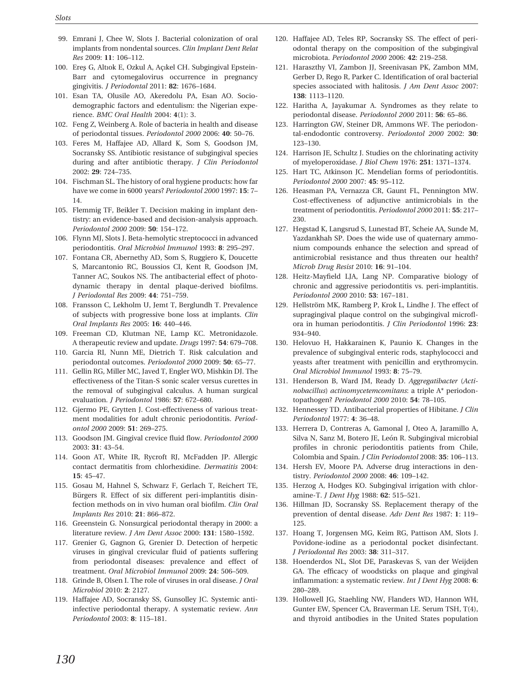- 99. Emrani J, Chee W, Slots J. Bacterial colonization of oral implants from nondental sources. Clin Implant Dent Relat Res 2009: 11: 106–112.
- 100. Ereş G, Altıok E, Ozkul A, Açıkel CH. Subgingival Epstein-Barr and cytomegalovirus occurrence in pregnancy gingivitis. J Periodontal 2011: 82: 1676–1684.
- 101. Esan TA, Olusile AO, Akeredolu PA, Esan AO. Sociodemographic factors and edentulism: the Nigerian experience. BMC Oral Health 2004: 4(1): 3.
- 102. Feng Z, Weinberg A. Role of bacteria in health and disease of periodontal tissues. Periodontol 2000 2006: 40: 50–76.
- 103. Feres M, Haffajee AD, Allard K, Som S, Goodson JM, Socransky SS. Antibiotic resistance of subgingival species during and after antibiotic therapy. J Clin Periodontol 2002: 29: 724–735.
- 104. Fischman SL. The history of oral hygiene products: how far have we come in 6000 years? Periodontol 2000 1997: 15: 7– 14.
- 105. Flemmig TF, Beikler T. Decision making in implant dentistry: an evidence-based and decision-analysis approach. Periodontol 2000 2009: 50: 154–172.
- 106. Flynn MJ, Slots J. Beta-hemolytic streptococci in advanced periodontitis. Oral Microbiol Immunol 1993: 8: 295–297.
- 107. Fontana CR, Abernethy AD, Som S, Ruggiero K, Doucette S, Marcantonio RC, Boussios CI, Kent R, Goodson JM, Tanner AC, Soukos NS. The antibacterial effect of photodynamic therapy in dental plaque-derived biofilms. J Periodontal Res 2009: 44: 751–759.
- 108. Fransson C, Lekholm U, Jemt T, Berglundh T. Prevalence of subjects with progressive bone loss at implants. Clin Oral Implants Res 2005: 16: 440–446.
- 109. Freeman CD, Klutman NE, Lamp KC. Metronidazole. A therapeutic review and update. Drugs 1997: 54: 679–708.
- 110. Garcia RI, Nunn ME, Dietrich T. Risk calculation and periodontal outcomes. Periodontol 2000 2009: 50: 65–77.
- 111. Gellin RG, Miller MC, Javed T, Engler WO, Mishkin DJ. The effectiveness of the Titan-S sonic scaler versus curettes in the removal of subgingival calculus. A human surgical evaluation. J Periodontol 1986: 57: 672–680.
- 112. Gjermo PE, Grytten J. Cost-effectiveness of various treatment modalities for adult chronic periodontitis. Periodontol 2000 2009: 51: 269–275.
- 113. Goodson JM. Gingival crevice fluid flow. Periodontol 2000 2003: 31: 43–54.
- 114. Goon AT, White IR, Rycroft RJ, McFadden JP. Allergic contact dermatitis from chlorhexidine. Dermatitis 2004: 15: 45–47.
- 115. Gosau M, Hahnel S, Schwarz F, Gerlach T, Reichert TE, Bürgers R. Effect of six different peri-implantitis disinfection methods on in vivo human oral biofilm. Clin Oral Implants Res 2010: 21: 866–872.
- 116. Greenstein G. Nonsurgical periodontal therapy in 2000: a literature review. J Am Dent Assoc 2000: 131: 1580–1592.
- 117. Grenier G, Gagnon G, Grenier D. Detection of herpetic viruses in gingival crevicular fluid of patients suffering from periodontal diseases: prevalence and effect of treatment. Oral Microbiol Immunol 2009: 24: 506–509.
- 118. Grinde B, Olsen I. The role of viruses in oral disease. J Oral Microbiol 2010: 2: 2127.
- 119. Haffajee AD, Socransky SS, Gunsolley JC. Systemic antiinfective periodontal therapy. A systematic review. Ann Periodontol 2003: 8: 115–181.
- 120. Haffajee AD, Teles RP, Socransky SS. The effect of periodontal therapy on the composition of the subgingival microbiota. Periodontol 2000 2006: 42: 219–258.
- 121. Haraszthy VI, Zambon JJ, Sreenivasan PK, Zambon MM, Gerber D, Rego R, Parker C. Identification of oral bacterial species associated with halitosis. J Am Dent Assoc 2007: 138: 1113–1120.
- 122. Haritha A, Jayakumar A. Syndromes as they relate to periodontal disease. Periodontol 2000 2011: 56: 65–86.
- 123. Harrington GW, Steiner DR, Ammons WF. The periodontal-endodontic controversy. Periodontol 2000 2002: 30: 123–130.
- 124. Harrison JE, Schultz J. Studies on the chlorinating activity of myeloperoxidase. J Biol Chem 1976: 251: 1371–1374.
- 125. Hart TC, Atkinson JC. Mendelian forms of periodontitis. Periodontol 2000 2007: 45: 95–112.
- 126. Heasman PA, Vernazza CR, Gaunt FL, Pennington MW. Cost-effectiveness of adjunctive antimicrobials in the treatment of periodontitis. Periodontol 2000 2011: 55: 217– 230.
- 127. Hegstad K, Langsrud S, Lunestad BT, Scheie AA, Sunde M, Yazdankhah SP. Does the wide use of quaternary ammonium compounds enhance the selection and spread of antimicrobial resistance and thus threaten our health? Microb Drug Resist 2010: 16: 91–104.
- 128. Heitz-Mayfield LJA, Lang NP. Comparative biology of chronic and aggressive periodontitis vs. peri-implantitis. Periodontol 2000 2010: 53: 167–181.
- 129. Hellström MK, Ramberg P, Krok L, Lindhe J. The effect of supragingival plaque control on the subgingival microflora in human periodontitis. J Clin Periodontol 1996: 23: 934–940.
- 130. Helovuo H, Hakkarainen K, Paunio K. Changes in the prevalence of subgingival enteric rods, staphylococci and yeasts after treatment with penicillin and erythromycin. Oral Microbiol Immunol 1993: 8: 75–79.
- 131. Henderson B, Ward JM, Ready D. Aggregatibacter (Actinobacillus) actinomycetemcomitans: a triple A\* periodontopathogen? Periodontol 2000 2010: 54: 78–105.
- 132. Hennessey TD. Antibacterial properties of Hibitane. J Clin Periodontol 1977: 4: 36–48.
- 133. Herrera D, Contreras A, Gamonal J, Oteo A, Jaramillo A, Silva N, Sanz M, Botero JE, León R. Subgingival microbial profiles in chronic periodontitis patients from Chile, Colombia and Spain. J Clin Periodontol 2008: 35: 106–113.
- 134. Hersh EV, Moore PA. Adverse drug interactions in dentistry. Periodontol 2000 2008: 46: 109–142.
- 135. Herzog A, Hodges KO. Subgingival irrigation with chloramine-T. J Dent Hyg 1988: 62: 515–521.
- 136. Hillman JD, Socransky SS. Replacement therapy of the prevention of dental disease. Adv Dent Res 1987: 1: 119– 125.
- 137. Hoang T, Jorgensen MG, Keim RG, Pattison AM, Slots J. Povidone-iodine as a periodontal pocket disinfectant. J Periodontal Res 2003: 38: 311–317.
- 138. Hoenderdos NL, Slot DE, Paraskevas S, van der Weijden GA. The efficacy of woodsticks on plaque and gingival inflammation: a systematic review. Int J Dent Hyg 2008: 6: 280–289.
- 139. Hollowell JG, Staehling NW, Flanders WD, Hannon WH, Gunter EW, Spencer CA, Braverman LE. Serum TSH, T(4), and thyroid antibodies in the United States population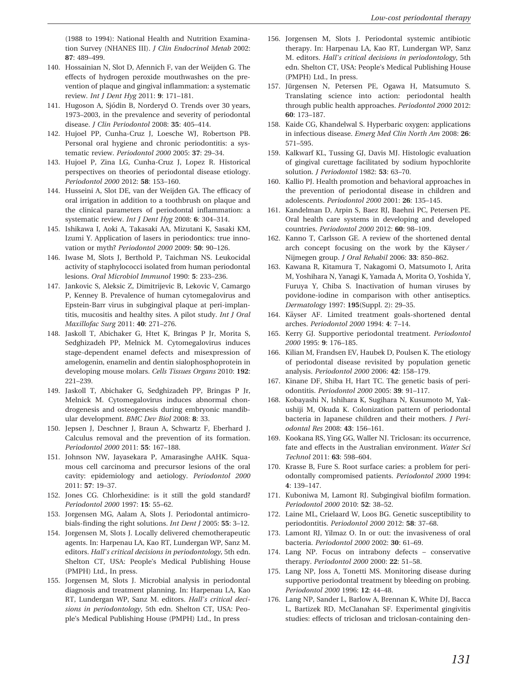(1988 to 1994): National Health and Nutrition Examination Survey (NHANES III). J Clin Endocrinol Metab 2002: 87: 489–499.

- 140. Hossainian N, Slot D, Afennich F, van der Weijden G. The effects of hydrogen peroxide mouthwashes on the prevention of plaque and gingival inflammation: a systematic review. Int J Dent Hyg 2011: 9: 171–181.
- 141. Hugoson A, Sjódin B, Norderyd O. Trends over 30 years, 1973–2003, in the prevalence and severity of periodontal disease. J Clin Periodontol 2008: 35: 405–414.
- 142. Hujoel PP, Cunha-Cruz J, Loesche WJ, Robertson PB. Personal oral hygiene and chronic periodontitis: a systematic review. Periodontol 2000 2005: 37: 29–34.
- 143. Hujoel P, Zina LG, Cunha-Cruz J, Lopez R. Historical perspectives on theories of periodontal disease etiology. Periodontol 2000 2012: 58: 153–160.
- 144. Husseini A, Slot DE, van der Weijden GA. The efficacy of oral irrigation in addition to a toothbrush on plaque and the clinical parameters of periodontal inflammation: a systematic review. Int J Dent Hyg 2008: 6: 304–314.
- 145. Ishikawa I, Aoki A, Takasaki AA, Mizutani K, Sasaki KM, Izumi Y. Application of lasers in periodontics: true innovation or myth? Periodontol 2000 2009: 50: 90–126.
- 146. Iwase M, Slots J, Berthold P, Taichman NS. Leukocidal activity of staphylococci isolated from human periodontal lesions. Oral Microbiol Immunol 1990: 5: 233–236.
- 147. Jankovic S, Aleksic Z, Dimitrijevic B, Lekovic V, Camargo P, Kenney B. Prevalence of human cytomegalovirus and Epstein-Barr virus in subgingival plaque at peri-implantitis, mucositis and healthy sites. A pilot study. Int J Oral Maxillofac Surg 2011: 40: 271–276.
- 148. Jaskoll T, Abichaker G, Htet K, Bringas P Jr, Morita S, Sedghizadeh PP, Melnick M. Cytomegalovirus induces stage-dependent enamel defects and misexpression of amelogenin, enamelin and dentin sialophosphoprotein in developing mouse molars. Cells Tissues Organs 2010: 192: 221–239.
- 149. Jaskoll T, Abichaker G, Sedghizadeh PP, Bringas P Jr, Melnick M. Cytomegalovirus induces abnormal chondrogenesis and osteogenesis during embryonic mandibular development. BMC Dev Biol 2008: 8: 33.
- 150. Jepsen J, Deschner J, Braun A, Schwartz F, Eberhard J. Calculus removal and the prevention of its formation. Periodontol 2000 2011: 55: 167–188.
- 151. Johnson NW, Jayasekara P, Amarasinghe AAHK. Squamous cell carcinoma and precursor lesions of the oral cavity: epidemiology and aetiology. Periodontol 2000 2011: 57: 19–37.
- 152. Jones CG. Chlorhexidine: is it still the gold standard? Periodontol 2000 1997: 15: 55–62.
- 153. Jorgensen MG, Aalam A, Slots J. Periodontal antimicrobials-finding the right solutions. Int Dent J 2005: 55: 3–12.
- 154. Jorgensen M, Slots J. Locally delivered chemotherapeutic agents. In: Harpenau LA, Kao RT, Lundergan WP, Sanz M. editors. Hall's critical decisions in periodontology, 5th edn. Shelton CT, USA: People's Medical Publishing House (PMPH) Ltd., In press.
- 155. Jorgensen M, Slots J. Microbial analysis in periodontal diagnosis and treatment planning. In: Harpenau LA, Kao RT, Lundergan WP, Sanz M. editors. *Hall's critical deci*sions in periodontology, 5th edn. Shelton CT, USA: People's Medical Publishing House (PMPH) Ltd., In press
- 156. Jorgensen M, Slots J. Periodontal systemic antibiotic therapy. In: Harpenau LA, Kao RT, Lundergan WP, Sanz M. editors. *Hall's critical decisions in periodontology,* 5th edn. Shelton CT, USA: People's Medical Publishing House (PMPH) Ltd., In press.
- 157. Jürgensen N, Petersen PE, Ogawa H, Matsumuto S. Translating science into action: periodontal health through public health approaches. Periodontol 2000 2012: 60: 173–187.
- 158. Kaide CG, Khandelwal S. Hyperbaric oxygen: applications in infectious disease. Emerg Med Clin North Am 2008: 26: 571–595.
- 159. Kalkwarf KL, Tussing GJ, Davis MJ. Histologic evaluation of gingival curettage facilitated by sodium hypochlorite solution. J Periodontol 1982: 53: 63–70.
- 160. Kallio PJ. Health promotion and behavioral approaches in the prevention of periodontal disease in children and adolescents. Periodontol 2000 2001: 26: 135–145.
- 161. Kandelman D, Arpin S, Baez RJ, Baehni PC, Petersen PE. Oral health care systems in developing and developed countries. Periodontol 2000 2012: 60: 98–109.
- 162. Kanno T, Carlsson GE. A review of the shortened dental arch concept focusing on the work by the Käyser / Nijmegen group. J Oral Rehabil 2006: 33: 850–862.
- 163. Kawana R, Kitamura T, Nakagomi O, Matsumoto I, Arita M, Yoshihara N, Yanagi K, Yamada A, Morita O, Yoshida Y, Furuya Y, Chiba S. Inactivation of human viruses by povidone-iodine in comparison with other antiseptics. Dermatology 1997: 195(Suppl. 2): 29–35.
- 164. Käyser AF. Limited treatment goals-shortened dental arches. Periodontol 2000 1994: 4: 7–14.
- 165. Kerry GJ. Supportive periodontal treatment. Periodontol 2000 1995: 9: 176–185.
- 166. Kilian M, Frandsen EV, Haubek D, Poulsen K. The etiology of periodontal disease revisited by population genetic analysis. Periodontol 2000 2006: 42: 158–179.
- 167. Kinane DF, Shiba H, Hart TC. The genetic basis of periodontitis. Periodontol 2000 2005: 39: 91–117.
- 168. Kobayashi N, Ishihara K, Sugihara N, Kusumoto M, Yakushiji M, Okuda K. Colonization pattern of periodontal bacteria in Japanese children and their mothers. J Periodontal Res 2008: 43: 156–161.
- 169. Kookana RS, Ying GG, Waller NJ. Triclosan: its occurrence, fate and effects in the Australian environment. Water Sci Technol 2011: 63: 598–604.
- 170. Krasse B, Fure S. Root surface caries: a problem for periodontally compromised patients. Periodontol 2000 1994: 4: 139–147.
- 171. Kuboniwa M, Lamont RJ. Subgingival biofilm formation. Periodontol 2000 2010: 52: 38–52.
- 172. Laine ML, Crielaard W, Loos BG. Genetic susceptibility to periodontitis. Periodontol 2000 2012: 58: 37–68.
- 173. Lamont RJ, Yilmaz O. In or out: the invasiveness of oral bacteria. Periodontol 2000 2002: 30: 61–69.
- 174. Lang NP. Focus on intrabony defects conservative therapy. Periodontol 2000 2000: 22: 51–58.
- 175. Lang NP, Joss A, Tonetti MS. Monitoring disease during supportive periodontal treatment by bleeding on probing. Periodontol 2000 1996: 12: 44–48.
- 176. Lang NP, Sander L, Barlow A, Brennan K, White DJ, Bacca L, Bartizek RD, McClanahan SF. Experimental gingivitis studies: effects of triclosan and triclosan-containing den-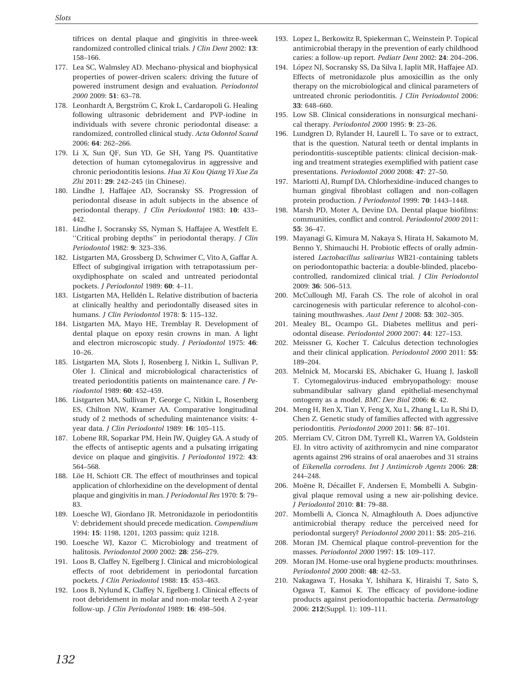tifrices on dental plaque and gingivitis in three-week randomized controlled clinical trials. J Clin Dent 2002: 13: 158–166.

- 177. Lea SC, Walmsley AD. Mechano-physical and biophysical properties of power-driven scalers: driving the future of powered instrument design and evaluation. Periodontol 2000 2009: 51: 63–78.
- 178. Leonhardt A, Bergström C, Krok L, Cardaropoli G. Healing following ultrasonic debridement and PVP-iodine in individuals with severe chronic periodontal disease: a randomized, controlled clinical study. Acta Odontol Scand 2006: 64: 262–266.
- 179. Li X, Sun QF, Sun YD, Ge SH, Yang PS. Quantitative detection of human cytomegalovirus in aggressive and chronic periodontitis lesions. Hua Xi Kou Qiang Yi Xue Za Zhi 2011: 29: 242–245 (in Chinese).
- 180. Lindhe J, Haffajee AD, Socransky SS. Progression of periodontal disease in adult subjects in the absence of periodontal therapy. J Clin Periodontol 1983: 10: 433– 442.
- 181. Lindhe J, Socransky SS, Nyman S, Haffajee A, Westfelt E. ''Critical probing depths'' in periodontal therapy. J Clin Periodontol 1982: 9: 323–336.
- 182. Listgarten MA, Grossberg D, Schwimer C, Vito A, Gaffar A. Effect of subgingival irrigation with tetrapotassium peroxydiphosphate on scaled and untreated periodontal pockets. J Periodontol 1989: 60: 4–11.
- 183. Listgarten MA, Helldén L. Relative distribution of bacteria at clinically healthy and periodontally diseased sites in humans. J Clin Periodontol 1978: 5: 115–132.
- 184. Listgarten MA, Mayo HE, Tremblay R. Development of dental plaque on epoxy resin crowns in man. A light and electron microscopic study. J Periodontol 1975: 46: 10–26.
- 185. Listgarten MA, Slots J, Rosenberg J, Nitkin L, Sullivan P, Oler J. Clinical and microbiological characteristics of treated periodontitis patients on maintenance care. J Periodontol 1989: 60: 452–459.
- 186. Listgarten MA, Sullivan P, George C, Nitkin L, Rosenberg ES, Chilton NW, Kramer AA. Comparative longitudinal study of 2 methods of scheduling maintenance visits: 4 year data. J Clin Periodontol 1989: 16: 105–115.
- 187. Lobene RR, Soparkar PM, Hein JW, Quigley GA. A study of the effects of antiseptic agents and a pulsating irrigating device on plaque and gingivitis. J Periodontol 1972: 43: 564–568.
- 188. Löe H, Schiott CR. The effect of mouthrinses and topical application of chlorhexidine on the development of dental plaque and gingivitis in man. J Periodontal Res 1970: 5: 79– 83.
- 189. Loesche WJ, Giordano JR. Metronidazole in periodontitis V: debridement should precede medication. Compendium 1994: 15: 1198, 1201, 1203 passim; quiz 1218.
- 190. Loesche WJ, Kazor C. Microbiology and treatment of halitosis. Periodontol 2000 2002: 28: 256–279.
- 191. Loos B, Claffey N, Egelberg J. Clinical and microbiological effects of root debridement in periodontal furcation pockets. J Clin Periodontol 1988: 15: 453–463.
- 192. Loos B, Nylund K, Claffey N, Egelberg J. Clinical effects of root debridement in molar and non-molar teeth A 2-year follow-up. J Clin Periodontol 1989: 16: 498–504.
- 193. Lopez L, Berkowitz R, Spiekerman C, Weinstein P. Topical antimicrobial therapy in the prevention of early childhood caries: a follow-up report. Pediatr Dent 2002: 24: 204–206.
- 194. López NJ, Socransky SS, Da Silva I, Japlit MR, Haffajee AD. Effects of metronidazole plus amoxicillin as the only therapy on the microbiological and clinical parameters of untreated chronic periodontitis. J Clin Periodontol 2006: 33: 648–660.
- 195. Low SB. Clinical considerations in nonsurgical mechanical therapy. Periodontol 2000 1995: 9: 23–26.
- 196. Lundgren D, Rylander H, Laurell L. To save or to extract, that is the question. Natural teeth or dental implants in periodontitis-susceptible patients: clinical decision-making and treatment strategies exemplified with patient case presentations. Periodontol 2000 2008: 47: 27–50.
- 197. Mariotti AJ, Rumpf DA. Chlorhexidine-induced changes to human gingival fibroblast collagen and non-collagen protein production. J Periodontol 1999: 70: 1443–1448.
- 198. Marsh PD, Moter A, Devine DA. Dental plaque biofilms: communities, conflict and control. Periodontol 2000 2011: 55: 36–47.
- 199. Mayanagi G, Kimura M, Nakaya S, Hirata H, Sakamoto M, Benno Y, Shimauchi H. Probiotic effects of orally administered Lactobacillus salivarius WB21-containing tablets on periodontopathic bacteria: a double-blinded, placebocontrolled, randomized clinical trial. J Clin Periodontol 2009: 36: 506–513.
- 200. McCullough MJ, Farah CS. The role of alcohol in oral carcinogenesis with particular reference to alcohol-containing mouthwashes. Aust Dent J 2008: 53: 302–305.
- 201. Mealey BL, Ocampo GL. Diabetes mellitus and periodontal disease. Periodontol 2000 2007: 44: 127–153.
- 202. Meissner G, Kocher T. Calculus detection technologies and their clinical application. Periodontol 2000 2011: 55: 189–204.
- 203. Melnick M, Mocarski ES, Abichaker G, Huang J, Jaskoll T. Cytomegalovirus-induced embryopathology: mouse submandibular salivary gland epithelial-mesenchymal ontogeny as a model. BMC Dev Biol 2006: 6: 42.
- 204. Meng H, Ren X, Tian Y, Feng X, Xu L, Zhang L, Lu R, Shi D, Chen Z. Genetic study of families affected with aggressive periodontitis. Periodontol 2000 2011: 56: 87–101.
- 205. Merriam CV, Citron DM, Tyrrell KL, Warren YA, Goldstein EJ. In vitro activity of azithromycin and nine comparator agents against 296 strains of oral anaerobes and 31 strains of Eikenella corrodens. Int J Antimicrob Agents 2006: 28: 244–248.
- 206. Moëne R, Décaillet F, Andersen E, Mombelli A. Subgingival plaque removal using a new air-polishing device. J Periodontol 2010: 81: 79–88.
- 207. Mombelli A, Cionca N, Almaghlouth A. Does adjunctive antimicrobial therapy reduce the perceived need for periodontal surgery? Periodontol 2000 2011: 55: 205–216.
- 208. Moran JM. Chemical plaque control–prevention for the masses. Periodontol 2000 1997: 15: 109–117.
- 209. Moran JM. Home-use oral hygiene products: mouthrinses. Periodontol 2000 2008: 48: 42–53.
- 210. Nakagawa T, Hosaka Y, Ishihara K, Hiraishi T, Sato S, Ogawa T, Kamoi K. The efficacy of povidone-iodine products against periodontopathic bacteria. Dermatology 2006: 212(Suppl. 1): 109–111.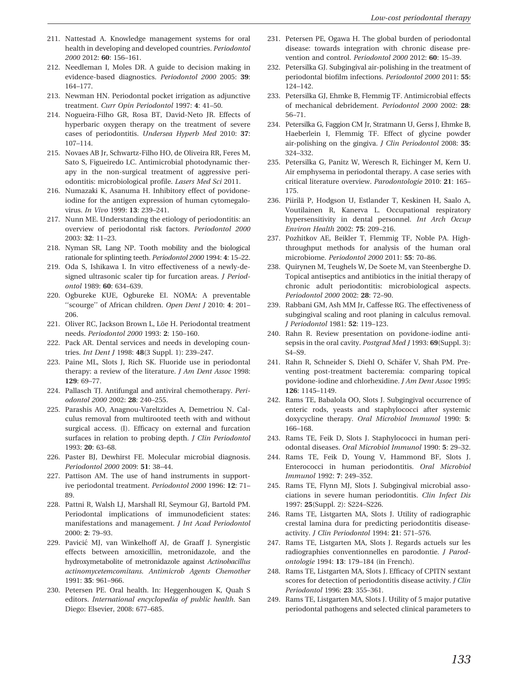- 211. Nattestad A. Knowledge management systems for oral health in developing and developed countries. Periodontol 2000 2012: 60: 156–161.
- 212. Needleman I, Moles DR. A guide to decision making in evidence-based diagnostics. Periodontol 2000 2005: 39: 164–177.
- 213. Newman HN. Periodontal pocket irrigation as adjunctive treatment. Curr Opin Periodontol 1997: 4: 41–50.
- 214. Nogueira-Filho GR, Rosa BT, David-Neto JR. Effects of hyperbaric oxygen therapy on the treatment of severe cases of periodontitis. Undersea Hyperb Med 2010: 37: 107–114.
- 215. Novaes AB Jr, Schwartz-Filho HO, de Oliveira RR, Feres M, Sato S, Figueiredo LC. Antimicrobial photodynamic therapy in the non-surgical treatment of aggressive periodontitis: microbiological profile. Lasers Med Sci 2011.
- 216. Numazaki K, Asanuma H. Inhibitory effect of povidoneiodine for the antigen expression of human cytomegalovirus. In Vivo 1999: 13: 239–241.
- 217. Nunn ME. Understanding the etiology of periodontitis: an overview of periodontal risk factors. Periodontol 2000 2003: 32: 11–23.
- 218. Nyman SR, Lang NP. Tooth mobility and the biological rationale for splinting teeth. Periodontol 2000 1994: 4: 15–22.
- 219. Oda S, Ishikawa I. In vitro effectiveness of a newly-designed ultrasonic scaler tip for furcation areas. J Periodontol 1989: 60: 634–639.
- 220. Ogbureke KUE, Ogbureke EI. NOMA: A preventable ''scourge'' of African children. Open Dent J 2010: 4: 201– 206.
- 221. Oliver RC, Jackson Brown L, Löe H. Periodontal treatment needs. Periodontol 2000 1993: 2: 150–160.
- 222. Pack AR. Dental services and needs in developing countries. Int Dent J 1998: 48(3 Suppl. 1): 239–247.
- 223. Paine ML, Slots J, Rich SK. Fluoride use in periodontal therapy: a review of the literature. J Am Dent Assoc 1998: 129: 69–77.
- 224. Pallasch TJ. Antifungal and antiviral chemotherapy. Periodontol 2000 2002: 28: 240–255.
- 225. Parashis AO, Anagnou-Vareltzides A, Demetriou N. Calculus removal from multirooted teeth with and without surgical access. (I). Efficacy on external and furcation surfaces in relation to probing depth. J Clin Periodontol 1993: 20: 63–68.
- 226. Paster BJ, Dewhirst FE. Molecular microbial diagnosis. Periodontol 2000 2009: 51: 38–44.
- 227. Pattison AM. The use of hand instruments in supportive periodontal treatment. Periodontol 2000 1996: 12: 71– 89.
- 228. Pattni R, Walsh LJ, Marshall RI, Seymour GJ, Bartold PM. Periodontal implications of immunodeficient states: manifestations and management. J Int Acad Periodontol 2000: 2: 79–93.
- 229. Pavicic´ MJ, van Winkelhoff AJ, de Graaff J. Synergistic effects between amoxicillin, metronidazole, and the hydroxymetabolite of metronidazole against Actinobacillus actinomycetemcomitans. Antimicrob Agents Chemother 1991: 35: 961–966.
- 230. Petersen PE. Oral health. In: Heggenhougen K, Quah S editors. International encyclopedia of public health. San Diego: Elsevier, 2008: 677–685.
- 231. Petersen PE, Ogawa H. The global burden of periodontal disease: towards integration with chronic disease prevention and control. Periodontol 2000 2012: 60: 15–39.
- 232. Petersilka GJ. Subgingival air-polishing in the treatment of periodontal biofilm infections. Periodontol 2000 2011: 55: 124–142.
- 233. Petersilka GJ, Ehmke B, Flemmig TF. Antimicrobial effects of mechanical debridement. Periodontol 2000 2002: 28: 56–71.
- 234. Petersilka G, Faggion CM Jr, Stratmann U, Gerss J, Ehmke B, Haeberlein I, Flemmig TF. Effect of glycine powder air-polishing on the gingiva. J Clin Periodontol 2008: 35: 324–332.
- 235. Petersilka G, Panitz W, Weresch R, Eichinger M, Kern U. Air emphysema in periodontal therapy. A case series with critical literature overview. Parodontologie 2010: 21: 165– 175.
- 236. Piirila¨ P, Hodgson U, Estlander T, Keskinen H, Saalo A, Voutilainen R, Kanerva L. Occupational respiratory hypersensitivity in dental personnel. Int Arch Occup Environ Health 2002: 75: 209–216.
- 237. Pozhitkov AE, Beikler T, Flemmig TF, Noble PA. Highthroughput methods for analysis of the human oral microbiome. Periodontol 2000 2011: 55: 70–86.
- 238. Quirynen M, Teughels W, De Soete M, van Steenberghe D. Topical antiseptics and antibiotics in the initial therapy of chronic adult periodontitis: microbiological aspects. Periodontol 2000 2002: 28: 72–90.
- 239. Rabbani GM, Ash MM Jr, Caffesse RG. The effectiveness of subgingival scaling and root planing in calculus removal. J Periodontol 1981: 52: 119–123.
- 240. Rahn R. Review presentation on povidone-iodine antisepsis in the oral cavity. *Postgrad Med J* 1993: **69**(Suppl. 3): S4–S9.
- 241. Rahn R, Schneider S, Diehl O, Schäfer V, Shah PM. Preventing post-treatment bacteremia: comparing topical povidone-iodine and chlorhexidine. J Am Dent Assoc 1995: 126: 1145–1149.
- 242. Rams TE, Babalola OO, Slots J. Subgingival occurrence of enteric rods, yeasts and staphylococci after systemic doxycycline therapy. Oral Microbiol Immunol 1990: 5: 166–168.
- 243. Rams TE, Feik D, Slots J. Staphylococci in human periodontal diseases. Oral Microbiol Immunol 1990: 5: 29–32.
- 244. Rams TE, Feik D, Young V, Hammond BF, Slots J. Enterococci in human periodontitis. Oral Microbiol Immunol 1992: 7: 249–352.
- 245. Rams TE, Flynn MJ, Slots J. Subgingival microbial associations in severe human periodontitis. Clin Infect Dis 1997: 25(Suppl. 2): S224–S226.
- 246. Rams TE, Listgarten MA, Slots J. Utility of radiographic crestal lamina dura for predicting periodontitis diseaseactivity. J Clin Periodontol 1994: 21: 571–576.
- 247. Rams TE, Listgarten MA, Slots J. Regards actuels sur les radiographies conventionnelles en parodontie. J Parodontologie 1994: 13: 179–184 (in French).
- 248. Rams TE, Listgarten MA, Slots J. Efficacy of CPITN sextant scores for detection of periodontitis disease activity. J Clin Periodontol 1996: 23: 355–361.
- 249. Rams TE, Listgarten MA, Slots J. Utility of 5 major putative periodontal pathogens and selected clinical parameters to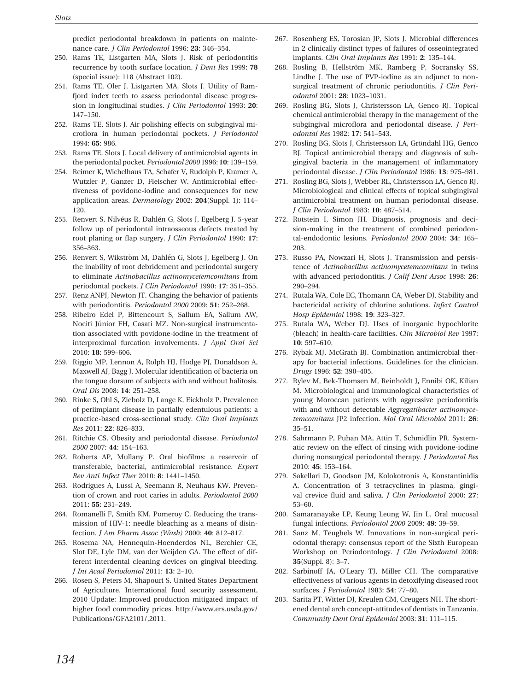predict periodontal breakdown in patients on maintenance care. J Clin Periodontol 1996: 23: 346–354.

- 250. Rams TE, Listgarten MA, Slots J. Risk of periodontitis recurrence by tooth surface location. J Dent Res 1999: 78 (special issue): 118 (Abstract 102).
- 251. Rams TE, Oler J, Listgarten MA, Slots J. Utility of Ramfjord index teeth to assess periodontal disease progression in longitudinal studies. J Clin Periodontol 1993: 20: 147–150.
- 252. Rams TE, Slots J. Air polishing effects on subgingival microflora in human periodontal pockets. J Periodontol 1994: 65: 986.
- 253. Rams TE, Slots J. Local delivery of antimicrobial agents in the periodontal pocket. Periodontol 2000 1996: 10: 139–159.
- 254. Reimer K, Wichelhaus TA, Schafer V, Rudolph P, Kramer A, Wutzler P, Ganzer D, Fleischer W. Antimicrobial effectiveness of povidone-iodine and consequences for new application areas. Dermatology 2002: 204(Suppl. 1): 114– 120.
- 255. Renvert S, Nilvéus R, Dahlén G, Slots J, Egelberg J. 5-year follow up of periodontal intraosseous defects treated by root planing or flap surgery. J Clin Periodontol 1990: 17: 356–363.
- 256. Renvert S, Wikström M, Dahlén G, Slots J, Egelberg J. On the inability of root debridement and periodontal surgery to eliminate Actinobacillus actinomycetemcomitans from periodontal pockets. J Clin Periodontol 1990: 17: 351–355.
- 257. Renz ANPJ, Newton JT. Changing the behavior of patients with periodontitis. Periodontol 2000 2009: 51: 252–268.
- 258. Ribeiro Edel P, Bittencourt S, Sallum EA, Sallum AW, Nociti Júnior FH, Casati MZ. Non-surgical instrumentation associated with povidone-iodine in the treatment of interproximal furcation involvements. J Appl Oral Sci 2010: 18: 599–606.
- 259. Riggio MP, Lennon A, Rolph HJ, Hodge PJ, Donaldson A, Maxwell AJ, Bagg J. Molecular identification of bacteria on the tongue dorsum of subjects with and without halitosis. Oral Dis 2008: 14: 251–258.
- 260. Rinke S, Ohl S, Ziebolz D, Lange K, Eickholz P. Prevalence of periimplant disease in partially edentulous patients: a practice-based cross-sectional study. Clin Oral Implants Res 2011: 22: 826–833.
- 261. Ritchie CS. Obesity and periodontal disease. Periodontol 2000 2007: 44: 154–163.
- 262. Roberts AP, Mullany P. Oral biofilms: a reservoir of transferable, bacterial, antimicrobial resistance. Expert Rev Anti Infect Ther 2010: 8: 1441–1450.
- 263. Rodrigues A, Lussi A, Seemann R, Neuhaus KW. Prevention of crown and root caries in adults. Periodontol 2000 2011: 55: 231–249.
- 264. Romanelli F, Smith KM, Pomeroy C. Reducing the transmission of HIV-1: needle bleaching as a means of disinfection. J Am Pharm Assoc (Wash) 2000: 40: 812–817.
- 265. Rosema NA, Hennequin-Hoenderdos NL, Berchier CE, Slot DE, Lyle DM, van der Weijden GA. The effect of different interdental cleaning devices on gingival bleeding. J Int Acad Periodontol 2011: 13: 2–10.
- 266. Rosen S, Peters M, Shapouri S. United States Department of Agriculture. International food security assessment, 2010 Update: Improved production mitigated impact of higher food commodity prices. http://www.ers.usda.gov/ Publications/GFA2101/,2011.
- 267. Rosenberg ES, Torosian JP, Slots J. Microbial differences in 2 clinically distinct types of failures of osseointegrated implants. Clin Oral Implants Res 1991: 2: 135–144.
- 268. Rosling B, Hellström MK, Ramberg P, Socransky SS, Lindhe J. The use of PVP-iodine as an adjunct to nonsurgical treatment of chronic periodontitis. J Clin Periodontol 2001: 28: 1023–1031.
- 269. Rosling BG, Slots J, Christersson LA, Genco RJ. Topical chemical antimicrobial therapy in the management of the subgingival microflora and periodontal disease. J Periodontal Res 1982: 17: 541–543.
- 270. Rosling BG, Slots J, Christersson LA, Gröndahl HG, Genco RJ. Topical antimicrobial therapy and diagnosis of subgingival bacteria in the management of inflammatory periodontal disease. J Clin Periodontol 1986: 13: 975–981.
- 271. Rosling BG, Slots J, Webber RL, Christersson LA, Genco RJ. Microbiological and clinical effects of topical subgingival antimicrobial treatment on human periodontal disease. J Clin Periodontol 1983: 10: 487–514.
- 272. Rotstein I, Simon JH. Diagnosis, prognosis and decision-making in the treatment of combined periodontal-endodontic lesions. Periodontol 2000 2004: 34: 165– 203.
- 273. Russo PA, Nowzari H, Slots J. Transmission and persistence of Actinobacillus actinomycetemcomitans in twins with advanced periodontitis. J Calif Dent Assoc 1998: 26: 290–294.
- 274. Rutala WA, Cole EC, Thomann CA, Weber DJ. Stability and bactericidal activity of chlorine solutions. Infect Control Hosp Epidemiol 1998: 19: 323–327.
- 275. Rutala WA, Weber DJ. Uses of inorganic hypochlorite (bleach) in health-care facilities. Clin Microbiol Rev 1997: 10: 597–610.
- 276. Rybak MJ, McGrath BJ. Combination antimicrobial therapy for bacterial infections. Guidelines for the clinician. Drugs 1996: 52: 390–405.
- 277. Rylev M, Bek-Thomsen M, Reinholdt J, Ennibi OK, Kilian M. Microbiological and immunological characteristics of young Moroccan patients with aggressive periodontitis with and without detectable Aggregatibacter actinomycetemcomitans JP2 infection. Mol Oral Microbiol 2011: 26: 35–51.
- 278. Sahrmann P, Puhan MA, Attin T, Schmidlin PR. Systematic review on the effect of rinsing with povidone-iodine during nonsurgical periodontal therapy. J Periodontal Res 2010: 45: 153–164.
- 279. Sakellari D, Goodson JM, Kolokotronis A, Konstantinidis A. Concentration of 3 tetracyclines in plasma, gingival crevice fluid and saliva. *J Clin Periodontol* 2000: 27: 53–60.
- 280. Samaranayake LP, Keung Leung W, Jin L. Oral mucosal fungal infections. Periodontol 2000 2009: 49: 39–59.
- 281. Sanz M, Teughels W. Innovations in non-surgical periodontal therapy: consensus report of the Sixth European Workshop on Periodontology. J Clin Periodontol 2008: 35(Suppl. 8): 3–7.
- 282. Sarbinoff JA, O'Leary TJ, Miller CH. The comparative effectiveness of various agents in detoxifying diseased root surfaces. J Periodontol 1983: 54: 77–80.
- 283. Sarita PT, Witter DJ, Kreulen CM, Creugers NH. The shortened dental arch concept-attitudes of dentists in Tanzania. Community Dent Oral Epidemiol 2003: 31: 111–115.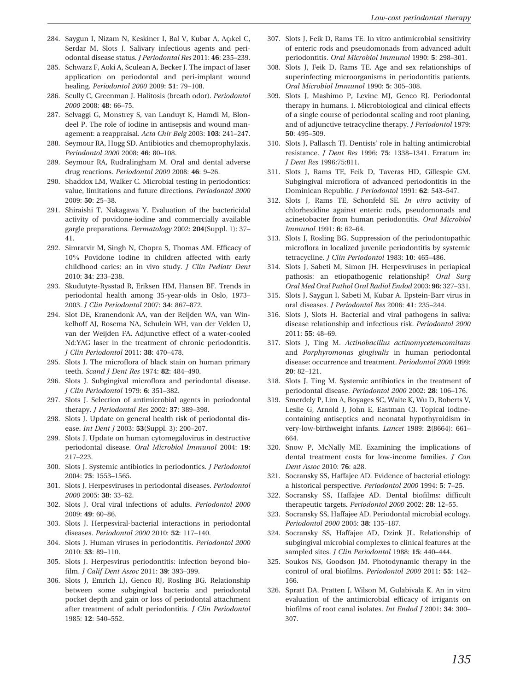- 284. Saygun I, Nizam N, Keskiner I, Bal V, Kubar A, Açıkel C, Serdar M, Slots J. Salivary infectious agents and periodontal disease status. J Periodontal Res 2011: 46: 235–239.
- 285. Schwarz F, Aoki A, Sculean A, Becker J. The impact of laser application on periodontal and peri-implant wound healing. Periodontol 2000 2009: 51: 79–108.
- 286. Scully C, Greenman J. Halitosis (breath odor). Periodontol 2000 2008: 48: 66–75.
- 287. Selvaggi G, Monstrey S, van Landuyt K, Hamdi M, Blondeel P. The role of iodine in antisepsis and wound management: a reappraisal. Acta Chir Belg 2003: 103: 241–247.
- 288. Seymour RA, Hogg SD. Antibiotics and chemoprophylaxis. Periodontol 2000 2008: 46: 80–108.
- 289. Seymour RA, Rudralingham M. Oral and dental adverse drug reactions. Periodontol 2000 2008: 46: 9–26.
- 290. Shaddox LM, Walker C. Microbial testing in periodontics: value, limitations and future directions. Periodontol 2000 2009: 50: 25–38.
- 291. Shiraishi T, Nakagawa Y. Evaluation of the bactericidal activity of povidone-iodine and commercially available gargle preparations. Dermatology 2002: 204(Suppl. 1): 37– 41.
- 292. Simratvir M, Singh N, Chopra S, Thomas AM. Efficacy of 10% Povidone Iodine in children affected with early childhood caries: an in vivo study. J Clin Pediatr Dent 2010: 34: 233–238.
- 293. Skudutyte-Rysstad R, Eriksen HM, Hansen BF. Trends in periodontal health among 35-year-olds in Oslo, 1973– 2003. J Clin Periodontol 2007: 34: 867–872.
- 294. Slot DE, Kranendonk AA, van der Reijden WA, van Winkelhoff AJ, Rosema NA, Schulein WH, van der Velden U, van der Weijden FA. Adjunctive effect of a water-cooled Nd:YAG laser in the treatment of chronic periodontitis. J Clin Periodontol 2011: 38: 470–478.
- 295. Slots J. The microflora of black stain on human primary teeth. Scand J Dent Res 1974: 82: 484–490.
- 296. Slots J. Subgingival microflora and periodontal disease. J Clin Periodontol 1979: 6: 351–382.
- 297. Slots J. Selection of antimicrobial agents in periodontal therapy. J Periodontal Res 2002: 37: 389–398.
- 298. Slots J. Update on general health risk of periodontal disease. Int Dent J 2003: 53(Suppl. 3): 200–207.
- 299. Slots J. Update on human cytomegalovirus in destructive periodontal disease. Oral Microbiol Immunol 2004: 19: 217–223.
- 300. Slots J. Systemic antibiotics in periodontics. J Periodontol 2004: 75: 1553–1565.
- 301. Slots J. Herpesviruses in periodontal diseases. Periodontol 2000 2005: 38: 33–62.
- 302. Slots J. Oral viral infections of adults. Periodontol 2000 2009: 49: 60–86.
- 303. Slots J. Herpesviral-bacterial interactions in periodontal diseases. Periodontol 2000 2010: 52: 117–140.
- 304. Slots J. Human viruses in periodontitis. Periodontol 2000 2010: 53: 89–110.
- 305. Slots J. Herpesvirus periodontitis: infection beyond biofilm. J Calif Dent Assoc 2011: 39: 393–399.
- 306. Slots J, Emrich LJ, Genco RJ, Rosling BG. Relationship between some subgingival bacteria and periodontal pocket depth and gain or loss of periodontal attachment after treatment of adult periodontitis. J Clin Periodontol 1985: 12: 540–552.
- 307. Slots J, Feik D, Rams TE. In vitro antimicrobial sensitivity of enteric rods and pseudomonads from advanced adult periodontitis. Oral Microbiol Immunol 1990: 5: 298–301.
- 308. Slots J, Feik D, Rams TE. Age and sex relationships of superinfecting microorganisms in periodontitis patients. Oral Microbiol Immunol 1990: 5: 305–308.
- 309. Slots J, Mashimo P, Levine MJ, Genco RJ. Periodontal therapy in humans. I. Microbiological and clinical effects of a single course of periodontal scaling and root planing, and of adjunctive tetracycline therapy. J Periodontol 1979: 50: 495–509.
- 310. Slots J, Pallasch TJ. Dentists' role in halting antimicrobial resistance. J Dent Res 1996: 75: 1338–1341. Erratum in: J Dent Res 1996:75:811.
- 311. Slots J, Rams TE, Feik D, Taveras HD, Gillespie GM. Subgingival microflora of advanced periodontitis in the Dominican Republic. J Periodontol 1991: 62: 543–547.
- 312. Slots J, Rams TE, Schonfeld SE. In vitro activity of chlorhexidine against enteric rods, pseudomonads and acinetobacter from human periodontitis. Oral Microbiol Immunol 1991: 6: 62–64.
- 313. Slots J, Rosling BG. Suppression of the periodontopathic microflora in localized juvenile periodontitis by systemic tetracycline. J Clin Periodontol 1983: 10: 465–486.
- 314. Slots J, Sabeti M, Simon JH. Herpesviruses in periapical pathosis: an etiopathogenic relationship? Oral Surg Oral Med Oral Pathol Oral Radiol Endod 2003: 96: 327–331.
- 315. Slots J, Saygun I, Sabeti M, Kubar A. Epstein-Barr virus in oral diseases. J Periodontal Res 2006: 41: 235–244.
- 316. Slots J, Slots H. Bacterial and viral pathogens in saliva: disease relationship and infectious risk. Periodontol 2000 2011: 55: 48–69.
- 317. Slots J, Ting M. Actinobacillus actinomycetemcomitans and Porphyromonas gingivalis in human periodontal disease: occurrence and treatment. Periodontol 2000 1999: 20: 82–121.
- 318. Slots J, Ting M. Systemic antibiotics in the treatment of periodontal disease. Periodontol 2000 2002: 28: 106–176.
- 319. Smerdely P, Lim A, Boyages SC, Waite K, Wu D, Roberts V, Leslie G, Arnold J, John E, Eastman CJ. Topical iodinecontaining antiseptics and neonatal hypothyroidism in very-low-birthweight infants. Lancet 1989: 2(8664): 661– 664.
- 320. Snow P, McNally ME. Examining the implications of dental treatment costs for low-income families. J Can Dent Assoc 2010: 76: a28.
- 321. Socransky SS, Haffajee AD. Evidence of bacterial etiology: a historical perspective. Periodontol 2000 1994: 5: 7–25.
- 322. Socransky SS, Haffajee AD. Dental biofilms: difficult therapeutic targets. Periodontol 2000 2002: 28: 12–55.
- 323. Socransky SS, Haffajee AD. Periodontal microbial ecology. Periodontol 2000 2005: 38: 135–187.
- 324. Socransky SS, Haffajee AD, Dzink JL. Relationship of subgingival microbial complexes to clinical features at the sampled sites. J Clin Periodontol 1988: 15: 440-444.
- 325. Soukos NS, Goodson JM. Photodynamic therapy in the control of oral biofilms. Periodontol 2000 2011: 55: 142– 166.
- 326. Spratt DA, Pratten J, Wilson M, Gulabivala K. An in vitro evaluation of the antimicrobial efficacy of irrigants on biofilms of root canal isolates. Int Endod J 2001: 34: 300– 307.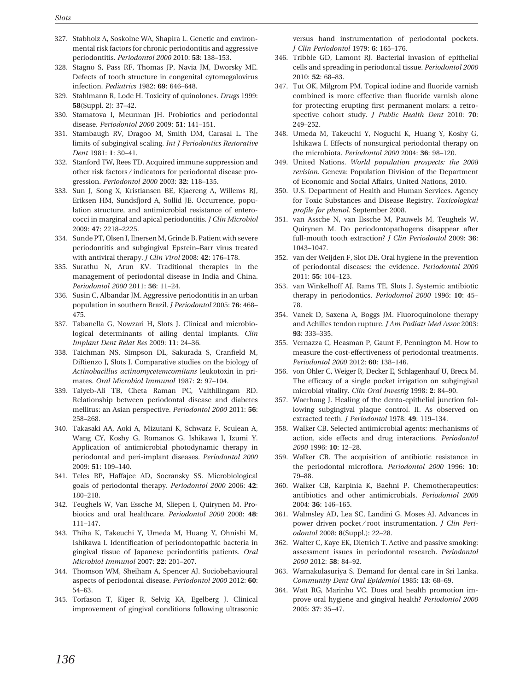- 328. Stagno S, Pass RF, Thomas JP, Navia JM, Dworsky ME. Defects of tooth structure in congenital cytomegalovirus infection. Pediatrics 1982: 69: 646–648.
- 329. Stahlmann R, Lode H. Toxicity of quinolones. Drugs 1999: 58(Suppl. 2): 37–42.
- 330. Stamatova I, Meurman JH. Probiotics and periodontal disease. Periodontol 2000 2009: 51: 141–151.
- 331. Stambaugh RV, Dragoo M, Smith DM, Carasal L. The limits of subgingival scaling. Int J Periodontics Restorative Dent 1981: 1: 30–41.
- 332. Stanford TW, Rees TD. Acquired immune suppression and other risk factors ⁄ indicators for periodontal disease progression. Periodontol 2000 2003: 32: 118–135.
- 333. Sun J, Song X, Kristiansen BE, Kjaereng A, Willems RJ, Eriksen HM, Sundsfjord A, Sollid JE. Occurrence, population structure, and antimicrobial resistance of enterococci in marginal and apical periodontitis. J Clin Microbiol 2009: 47: 2218–2225.
- 334. Sunde PT, Olsen I, Enersen M, Grinde B. Patient with severe periodontitis and subgingival Epstein–Barr virus treated with antiviral therapy. J Clin Virol 2008: 42: 176–178.
- 335. Surathu N, Arun KV. Traditional therapies in the management of periodontal disease in India and China. Periodontol 2000 2011: 56: 11–24.
- 336. Susin C, Albandar JM. Aggressive periodontitis in an urban population in southern Brazil. J Periodontol 2005: 76: 468– 475.
- 337. Tabanella G, Nowzari H, Slots J. Clinical and microbiological determinants of ailing dental implants. Clin Implant Dent Relat Res 2009: 11: 24–36.
- 338. Taichman NS, Simpson DL, Sakurada S, Cranfield M, DiRienzo J, Slots J. Comparative studies on the biology of Actinobacillus actinomycetemcomitans leukotoxin in primates. Oral Microbiol Immunol 1987: 2: 97–104.
- 339. Taiyeb-Ali TB, Cheta Raman PC, Vaithilingam RD. Relationship between periodontal disease and diabetes mellitus: an Asian perspective. Periodontol 2000 2011: 56: 258–268.
- 340. Takasaki AA, Aoki A, Mizutani K, Schwarz F, Sculean A, Wang CY, Koshy G, Romanos G, Ishikawa I, Izumi Y. Application of antimicrobial photodynamic therapy in periodontal and peri-implant diseases. Periodontol 2000 2009: 51: 109–140.
- 341. Teles RP, Haffajee AD, Socransky SS. Microbiological goals of periodontal therapy. Periodontol 2000 2006: 42: 180–218.
- 342. Teughels W, Van Essche M, Sliepen I, Quirynen M. Probiotics and oral healthcare. Periodontol 2000 2008: 48: 111–147.
- 343. Thiha K, Takeuchi Y, Umeda M, Huang Y, Ohnishi M, Ishikawa I. Identification of periodontopathic bacteria in gingival tissue of Japanese periodontitis patients. Oral Microbiol Immunol 2007: 22: 201–207.
- 344. Thomson WM, Sheiham A, Spencer AJ. Sociobehavioural aspects of periodontal disease. Periodontol 2000 2012: 60: 54–63.
- 345. Torfason T, Kiger R, Selvig KA, Egelberg J. Clinical improvement of gingival conditions following ultrasonic

versus hand instrumentation of periodontal pockets. J Clin Periodontol 1979: 6: 165–176.

- 346. Tribble GD, Lamont RJ. Bacterial invasion of epithelial cells and spreading in periodontal tissue. Periodontol 2000 2010: 52: 68–83.
- 347. Tut OK, Milgrom PM. Topical iodine and fluoride varnish combined is more effective than fluoride varnish alone for protecting erupting first permanent molars: a retrospective cohort study. J Public Health Dent 2010: 70: 249–252.
- 348. Umeda M, Takeuchi Y, Noguchi K, Huang Y, Koshy G, Ishikawa I. Effects of nonsurgical periodontal therapy on the microbiota. Periodontol 2000 2004: 36: 98–120.
- 349. United Nations. World population prospects: the 2008 revision. Geneva: Population Division of the Department of Economic and Social Affairs, United Nations, 2010.
- 350. U.S. Department of Health and Human Services. Agency for Toxic Substances and Disease Registry. Toxicological profile for phenol. September 2008.
- 351. van Assche N, van Essche M, Pauwels M, Teughels W, Quirynen M. Do periodontopathogens disappear after full-mouth tooth extraction? *J Clin Periodontol* 2009: 36: 1043–1047.
- 352. van der Weijden F, Slot DE. Oral hygiene in the prevention of periodontal diseases: the evidence. Periodontol 2000 2011: 55: 104–123.
- 353. van Winkelhoff AJ, Rams TE, Slots J. Systemic antibiotic therapy in periodontics. Periodontol 2000 1996: 10: 45– 78.
- 354. Vanek D, Saxena A, Boggs JM. Fluoroquinolone therapy and Achilles tendon rupture. J Am Podiatr Med Assoc 2003: 93: 333–335.
- 355. Vernazza C, Heasman P, Gaunt F, Pennington M. How to measure the cost-effectiveness of periodontal treatments. Periodontol 2000 2012: 60: 138–146.
- 356. von Ohler C, Weiger R, Decker E, Schlagenhauf U, Brecx M. The efficacy of a single pocket irrigation on subgingival microbial vitality. Clin Oral Investig 1998: 2: 84–90.
- 357. Waerhaug J. Healing of the dento-epithelial junction following subgingival plaque control. II. As observed on extracted teeth. J Periodontol 1978: 49: 119–134.
- 358. Walker CB. Selected antimicrobial agents: mechanisms of action, side effects and drug interactions. Periodontol 2000 1996: 10: 12–28.
- 359. Walker CB. The acquisition of antibiotic resistance in the periodontal microflora. Periodontol 2000 1996: 10: 79–88.
- 360. Walker CB, Karpinia K, Baehni P. Chemotherapeutics: antibiotics and other antimicrobials. Periodontol 2000 2004: 36: 146–165.
- 361. Walmsley AD, Lea SC, Landini G, Moses AJ. Advances in power driven pocket ⁄ root instrumentation. J Clin Periodontol 2008: 8(Suppl.): 22–28.
- 362. Walter C, Kaye EK, Dietrich T. Active and passive smoking: assessment issues in periodontal research. Periodontol 2000 2012: 58: 84–92.
- 363. Warnakulasuriya S. Demand for dental care in Sri Lanka. Community Dent Oral Epidemiol 1985: 13: 68–69.
- 364. Watt RG, Marinho VC. Does oral health promotion improve oral hygiene and gingival health? Periodontol 2000 2005: 37: 35–47.